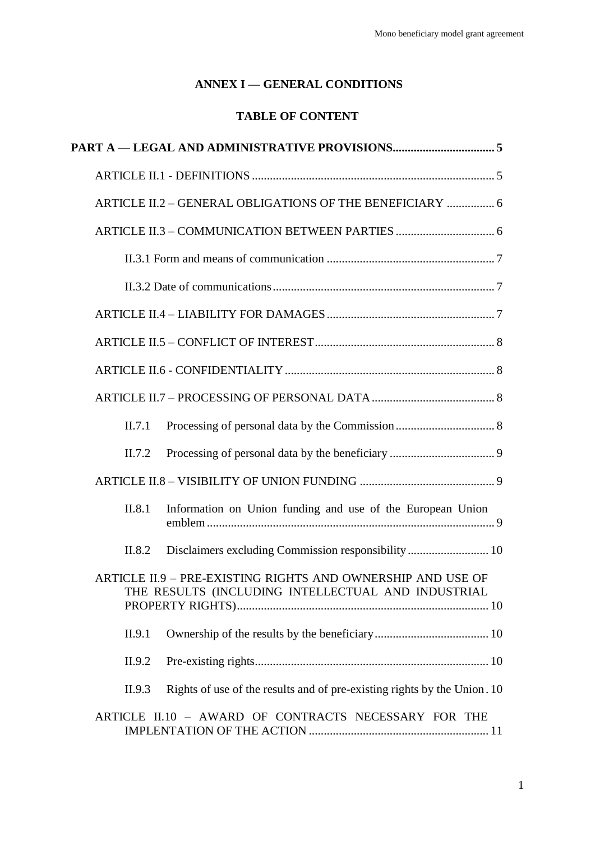## **ANNEX I — GENERAL CONDITIONS**

# **TABLE OF CONTENT**

|        | ARTICLE II.2 - GENERAL OBLIGATIONS OF THE BENEFICIARY  6                                                          |  |
|--------|-------------------------------------------------------------------------------------------------------------------|--|
|        |                                                                                                                   |  |
|        |                                                                                                                   |  |
|        |                                                                                                                   |  |
|        |                                                                                                                   |  |
|        |                                                                                                                   |  |
|        |                                                                                                                   |  |
|        |                                                                                                                   |  |
| II.7.1 |                                                                                                                   |  |
| II.7.2 |                                                                                                                   |  |
|        |                                                                                                                   |  |
| II.8.1 | Information on Union funding and use of the European Union                                                        |  |
| II.8.2 |                                                                                                                   |  |
|        | ARTICLE II.9 - PRE-EXISTING RIGHTS AND OWNERSHIP AND USE OF<br>THE RESULTS (INCLUDING INTELLECTUAL AND INDUSTRIAL |  |
| II.9.1 |                                                                                                                   |  |
| II.9.2 |                                                                                                                   |  |
| II.9.3 | Rights of use of the results and of pre-existing rights by the Union. 10                                          |  |
|        | ARTICLE II.10 - AWARD OF CONTRACTS NECESSARY FOR THE                                                              |  |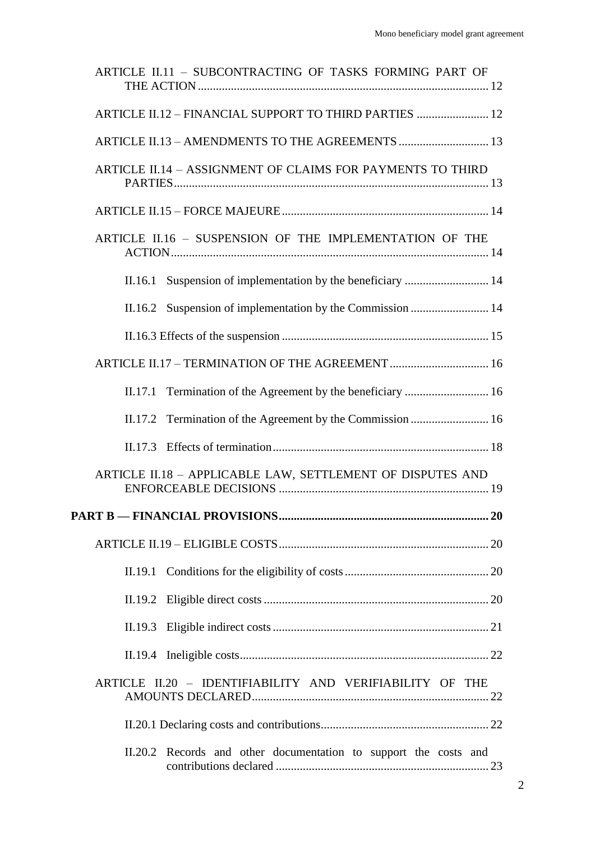|         | ARTICLE II.11 - SUBCONTRACTING OF TASKS FORMING PART OF          |  |
|---------|------------------------------------------------------------------|--|
|         | ARTICLE II.12 - FINANCIAL SUPPORT TO THIRD PARTIES  12           |  |
|         | ARTICLE II.13 - AMENDMENTS TO THE AGREEMENTS  13                 |  |
|         | ARTICLE II.14 - ASSIGNMENT OF CLAIMS FOR PAYMENTS TO THIRD       |  |
|         |                                                                  |  |
|         | ARTICLE II.16 - SUSPENSION OF THE IMPLEMENTATION OF THE          |  |
|         |                                                                  |  |
|         |                                                                  |  |
|         |                                                                  |  |
|         | ARTICLE II.17 - TERMINATION OF THE AGREEMENT  16                 |  |
| II.17.1 |                                                                  |  |
|         |                                                                  |  |
|         |                                                                  |  |
|         | ARTICLE II.18 - APPLICABLE LAW, SETTLEMENT OF DISPUTES AND       |  |
|         |                                                                  |  |
|         |                                                                  |  |
| II.19.1 |                                                                  |  |
|         |                                                                  |  |
|         |                                                                  |  |
|         |                                                                  |  |
|         | ARTICLE II.20 - IDENTIFIABILITY AND VERIFIABILITY OF THE         |  |
|         |                                                                  |  |
|         | II.20.2 Records and other documentation to support the costs and |  |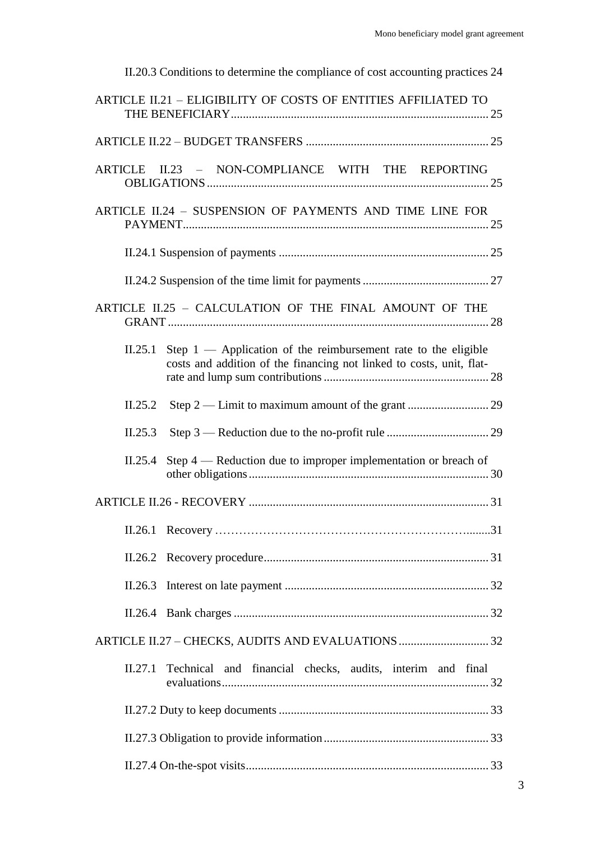| II.20.3 Conditions to determine the compliance of cost accounting practices 24                                                                      |  |  |  |  |
|-----------------------------------------------------------------------------------------------------------------------------------------------------|--|--|--|--|
| ARTICLE II.21 - ELIGIBILITY OF COSTS OF ENTITIES AFFILIATED TO                                                                                      |  |  |  |  |
|                                                                                                                                                     |  |  |  |  |
| ARTICLE II.23 - NON-COMPLIANCE WITH THE REPORTING                                                                                                   |  |  |  |  |
| ARTICLE II.24 - SUSPENSION OF PAYMENTS AND TIME LINE FOR                                                                                            |  |  |  |  |
|                                                                                                                                                     |  |  |  |  |
|                                                                                                                                                     |  |  |  |  |
| ARTICLE II.25 - CALCULATION OF THE FINAL AMOUNT OF THE                                                                                              |  |  |  |  |
| Step $1$ — Application of the reimbursement rate to the eligible<br>II.25.1<br>costs and addition of the financing not linked to costs, unit, flat- |  |  |  |  |
| Step 2 — Limit to maximum amount of the grant  29<br>II.25.2                                                                                        |  |  |  |  |
| II.25.3                                                                                                                                             |  |  |  |  |
| Step $4$ — Reduction due to improper implementation or breach of<br>II.25.4                                                                         |  |  |  |  |
|                                                                                                                                                     |  |  |  |  |
| II.26.1                                                                                                                                             |  |  |  |  |
| II.26.2                                                                                                                                             |  |  |  |  |
| II.26.3                                                                                                                                             |  |  |  |  |
|                                                                                                                                                     |  |  |  |  |
|                                                                                                                                                     |  |  |  |  |
| Technical and financial checks, audits, interim and final<br>II.27.1                                                                                |  |  |  |  |
|                                                                                                                                                     |  |  |  |  |
|                                                                                                                                                     |  |  |  |  |
|                                                                                                                                                     |  |  |  |  |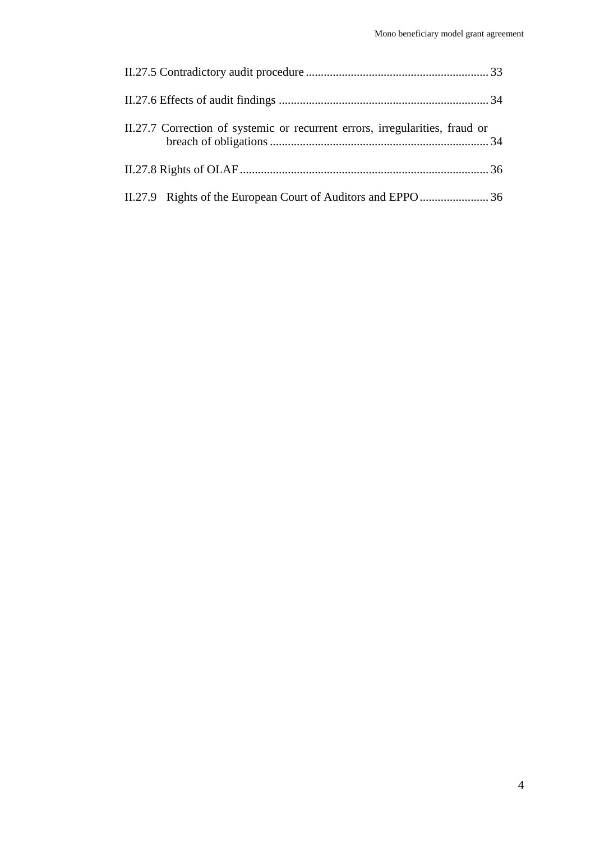| II.27.7 Correction of systemic or recurrent errors, irregularities, fraud or |  |
|------------------------------------------------------------------------------|--|
|                                                                              |  |
|                                                                              |  |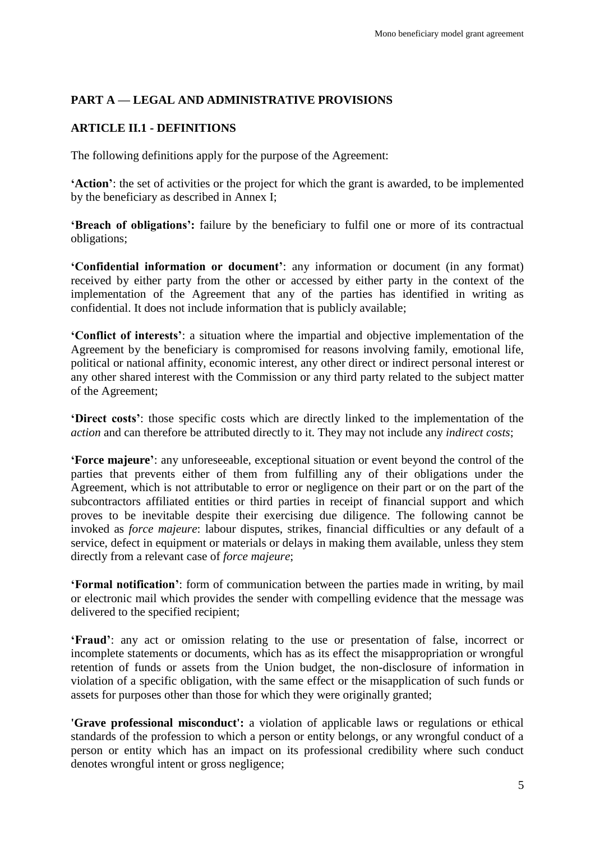## <span id="page-4-0"></span>**PART A — LEGAL AND ADMINISTRATIVE PROVISIONS**

### <span id="page-4-1"></span>**ARTICLE II.1 - DEFINITIONS**

The following definitions apply for the purpose of the Agreement:

**'Action'**: the set of activities or the project for which the grant is awarded, to be implemented by the beneficiary as described in Annex I;

**'Breach of obligations':** failure by the beneficiary to fulfil one or more of its contractual obligations;

**'Confidential information or document'**: any information or document (in any format) received by either party from the other or accessed by either party in the context of the implementation of the Agreement that any of the parties has identified in writing as confidential. It does not include information that is publicly available;

**'Conflict of interests'**: a situation where the impartial and objective implementation of the Agreement by the beneficiary is compromised for reasons involving family, emotional life, political or national affinity, economic interest, any other direct or indirect personal interest or any other shared interest with the Commission or any third party related to the subject matter of the Agreement;

**'Direct costs'**: those specific costs which are directly linked to the implementation of the *action* and can therefore be attributed directly to it. They may not include any *indirect costs*;

**'Force majeure'**: any unforeseeable, exceptional situation or event beyond the control of the parties that prevents either of them from fulfilling any of their obligations under the Agreement, which is not attributable to error or negligence on their part or on the part of the subcontractors affiliated entities or third parties in receipt of financial support and which proves to be inevitable despite their exercising due diligence. The following cannot be invoked as *force majeure*: labour disputes, strikes, financial difficulties or any default of a service, defect in equipment or materials or delays in making them available, unless they stem directly from a relevant case of *force majeure*;

**'Formal notification'**: form of communication between the parties made in writing, by mail or electronic mail which provides the sender with compelling evidence that the message was delivered to the specified recipient;

**'Fraud'**: any act or omission relating to the use or presentation of false, incorrect or incomplete statements or documents, which has as its effect the misappropriation or wrongful retention of funds or assets from the Union budget, the non-disclosure of information in violation of a specific obligation, with the same effect or the misapplication of such funds or assets for purposes other than those for which they were originally granted;

**'Grave professional misconduct':** a violation of applicable laws or regulations or ethical standards of the profession to which a person or entity belongs, or any wrongful conduct of a person or entity which has an impact on its professional credibility where such conduct denotes wrongful intent or gross negligence;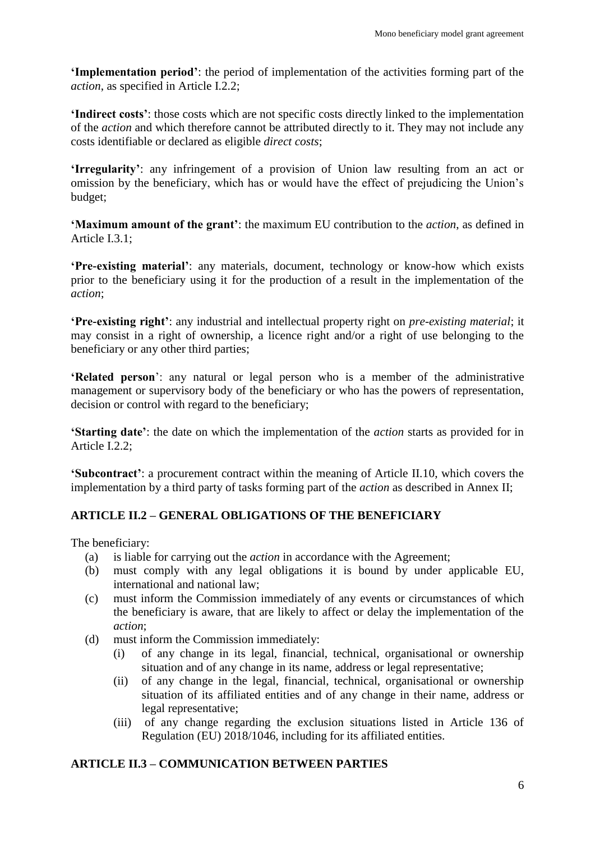**'Implementation period'**: the period of implementation of the activities forming part of the *action*, as specified in Article I.2.2;

**'Indirect costs'**: those costs which are not specific costs directly linked to the implementation of the *action* and which therefore cannot be attributed directly to it. They may not include any costs identifiable or declared as eligible *direct costs*;

**'Irregularity'**: any infringement of a provision of Union law resulting from an act or omission by the beneficiary, which has or would have the effect of prejudicing the Union's budget;

**'Maximum amount of the grant'**: the maximum EU contribution to the *action*, as defined in Article I.3.1;

**'Pre-existing material'**: any materials, document, technology or know-how which exists prior to the beneficiary using it for the production of a result in the implementation of the *action*;

**'Pre-existing right'**: any industrial and intellectual property right on *pre-existing material*; it may consist in a right of ownership, a licence right and/or a right of use belonging to the beneficiary or any other third parties;

**'Related person**': any natural or legal person who is a member of the administrative management or supervisory body of the beneficiary or who has the powers of representation, decision or control with regard to the beneficiary;

**'Starting date'**: the date on which the implementation of the *action* starts as provided for in Article I.2.2;

**'Subcontract'**: a procurement contract within the meaning of Article II.10, which covers the implementation by a third party of tasks forming part of the *action* as described in Annex II;

## <span id="page-5-0"></span>**ARTICLE II.2 – GENERAL OBLIGATIONS OF THE BENEFICIARY**

The beneficiary:

- (a) is liable for carrying out the *action* in accordance with the Agreement;
- (b) must comply with any legal obligations it is bound by under applicable EU, international and national law;
- (c) must inform the Commission immediately of any events or circumstances of which the beneficiary is aware, that are likely to affect or delay the implementation of the *action*;
- (d) must inform the Commission immediately:
	- (i) of any change in its legal, financial, technical, organisational or ownership situation and of any change in its name, address or legal representative;
	- (ii) of any change in the legal, financial, technical, organisational or ownership situation of its affiliated entities and of any change in their name, address or legal representative;
	- (iii) of any change regarding the exclusion situations listed in Article 136 of Regulation (EU) 2018/1046, including for its affiliated entities.

## <span id="page-5-1"></span>**ARTICLE II.3 – COMMUNICATION BETWEEN PARTIES**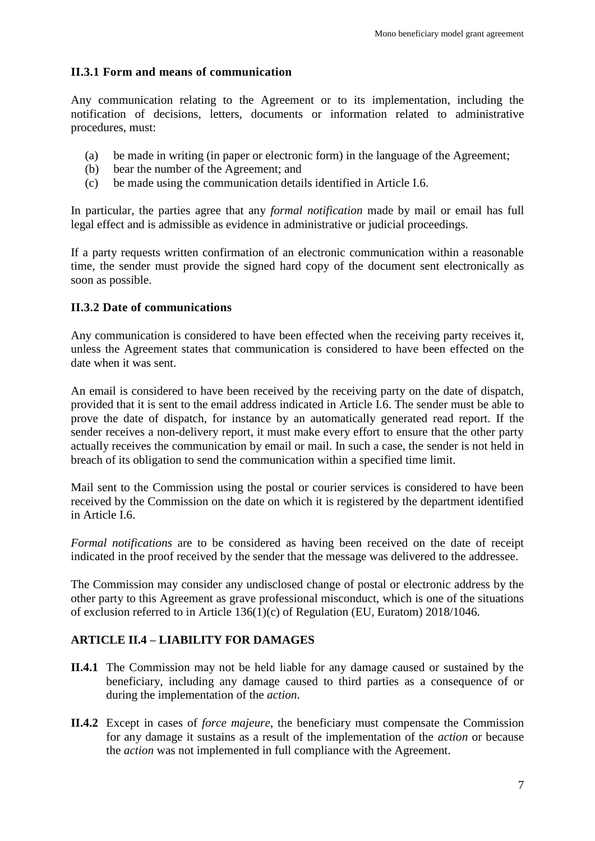#### <span id="page-6-0"></span>**II.3.1 Form and means of communication**

Any communication relating to the Agreement or to its implementation, including the notification of decisions, letters, documents or information related to administrative procedures, must:

- (a) be made in writing (in paper or electronic form) in the language of the Agreement;
- (b) bear the number of the Agreement; and
- (c) be made using the communication details identified in Article I.6.

In particular, the parties agree that any *formal notification* made by mail or email has full legal effect and is admissible as evidence in administrative or judicial proceedings.

If a party requests written confirmation of an electronic communication within a reasonable time, the sender must provide the signed hard copy of the document sent electronically as soon as possible.

### <span id="page-6-1"></span>**II.3.2 Date of communications**

Any communication is considered to have been effected when the receiving party receives it, unless the Agreement states that communication is considered to have been effected on the date when it was sent.

An email is considered to have been received by the receiving party on the date of dispatch, provided that it is sent to the email address indicated in Article I.6. The sender must be able to prove the date of dispatch, for instance by an automatically generated read report. If the sender receives a non-delivery report, it must make every effort to ensure that the other party actually receives the communication by email or mail. In such a case, the sender is not held in breach of its obligation to send the communication within a specified time limit.

Mail sent to the Commission using the postal or courier services is considered to have been received by the Commission on the date on which it is registered by the department identified in Article I.6.

*Formal notifications* are to be considered as having been received on the date of receipt indicated in the proof received by the sender that the message was delivered to the addressee.

The Commission may consider any undisclosed change of postal or electronic address by the other party to this Agreement as grave professional misconduct, which is one of the situations of exclusion referred to in Article 136(1)(c) of Regulation (EU, Euratom) 2018/1046.

### <span id="page-6-2"></span>**ARTICLE II.4 – LIABILITY FOR DAMAGES**

- **II.4.1** The Commission may not be held liable for any damage caused or sustained by the beneficiary, including any damage caused to third parties as a consequence of or during the implementation of the *action*.
- **II.4.2** Except in cases of *force majeure*, the beneficiary must compensate the Commission for any damage it sustains as a result of the implementation of the *action* or because the *action* was not implemented in full compliance with the Agreement.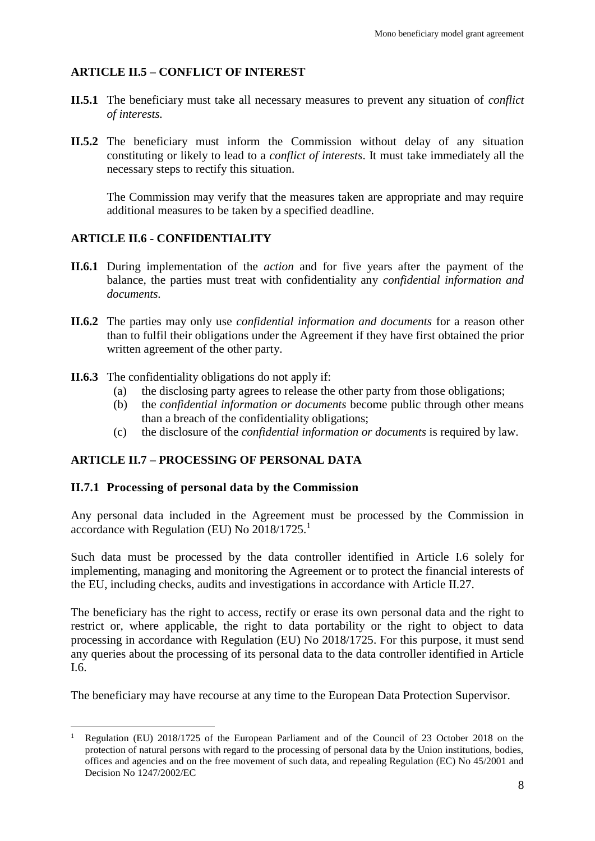## <span id="page-7-0"></span>**ARTICLE II.5 – CONFLICT OF INTEREST**

- **II.5.1** The beneficiary must take all necessary measures to prevent any situation of *conflict of interests.*
- **II.5.2** The beneficiary must inform the Commission without delay of any situation constituting or likely to lead to a *conflict of interests*. It must take immediately all the necessary steps to rectify this situation.

The Commission may verify that the measures taken are appropriate and may require additional measures to be taken by a specified deadline.

### <span id="page-7-1"></span>**ARTICLE II.6 - CONFIDENTIALITY**

- **II.6.1** During implementation of the *action* and for five years after the payment of the balance, the parties must treat with confidentiality any *confidential information and documents.*
- **II.6.2** The parties may only use *confidential information and documents* for a reason other than to fulfil their obligations under the Agreement if they have first obtained the prior written agreement of the other party.
- **II.6.3** The confidentiality obligations do not apply if:
	- (a) the disclosing party agrees to release the other party from those obligations;
	- (b) the *confidential information or documents* become public through other means than a breach of the confidentiality obligations;
	- (c) the disclosure of the *confidential information or documents* is required by law.

### <span id="page-7-2"></span>**ARTICLE II.7 – PROCESSING OF PERSONAL DATA**

#### <span id="page-7-3"></span>**II.7.1 Processing of personal data by the Commission**

 $\overline{a}$ 

Any personal data included in the Agreement must be processed by the Commission in accordance with Regulation (EU) No 2018/1725.<sup>1</sup>

Such data must be processed by the data controller identified in Article I.6 solely for implementing, managing and monitoring the Agreement or to protect the financial interests of the EU, including checks, audits and investigations in accordance with Article II.27.

The beneficiary has the right to access, rectify or erase its own personal data and the right to restrict or, where applicable, the right to data portability or the right to object to data processing in accordance with Regulation (EU) No 2018/1725. For this purpose, it must send any queries about the processing of its personal data to the data controller identified in Article I.6.

The beneficiary may have recourse at any time to the European Data Protection Supervisor.

Regulation (EU) 2018/1725 of the European Parliament and of the Council of 23 October 2018 on the protection of natural persons with regard to the processing of personal data by the Union institutions, bodies, offices and agencies and on the free movement of such data, and repealing Regulation (EC) No 45/2001 and Decision No 1247/2002/EC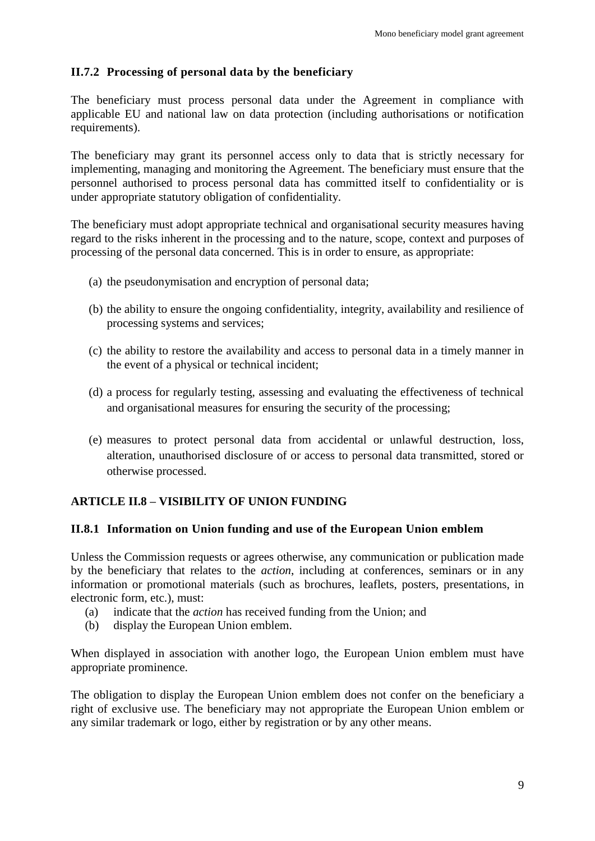## <span id="page-8-0"></span>**II.7.2 Processing of personal data by the beneficiary**

The beneficiary must process personal data under the Agreement in compliance with applicable EU and national law on data protection (including authorisations or notification requirements).

The beneficiary may grant its personnel access only to data that is strictly necessary for implementing, managing and monitoring the Agreement. The beneficiary must ensure that the personnel authorised to process personal data has committed itself to confidentiality or is under appropriate statutory obligation of confidentiality.

The beneficiary must adopt appropriate technical and organisational security measures having regard to the risks inherent in the processing and to the nature, scope, context and purposes of processing of the personal data concerned. This is in order to ensure, as appropriate:

- (a) the pseudonymisation and encryption of personal data;
- (b) the ability to ensure the ongoing confidentiality, integrity, availability and resilience of processing systems and services;
- (c) the ability to restore the availability and access to personal data in a timely manner in the event of a physical or technical incident;
- (d) a process for regularly testing, assessing and evaluating the effectiveness of technical and organisational measures for ensuring the security of the processing;
- (e) measures to protect personal data from accidental or unlawful destruction, loss, alteration, unauthorised disclosure of or access to personal data transmitted, stored or otherwise processed.

## <span id="page-8-1"></span>**ARTICLE II.8 – VISIBILITY OF UNION FUNDING**

### <span id="page-8-2"></span>**II.8.1 Information on Union funding and use of the European Union emblem**

Unless the Commission requests or agrees otherwise, any communication or publication made by the beneficiary that relates to the *action*, including at conferences, seminars or in any information or promotional materials (such as brochures, leaflets, posters, presentations, in electronic form, etc.), must:

- (a) indicate that the *action* has received funding from the Union; and
- (b) display the European Union emblem.

When displayed in association with another logo, the European Union emblem must have appropriate prominence.

The obligation to display the European Union emblem does not confer on the beneficiary a right of exclusive use. The beneficiary may not appropriate the European Union emblem or any similar trademark or logo, either by registration or by any other means.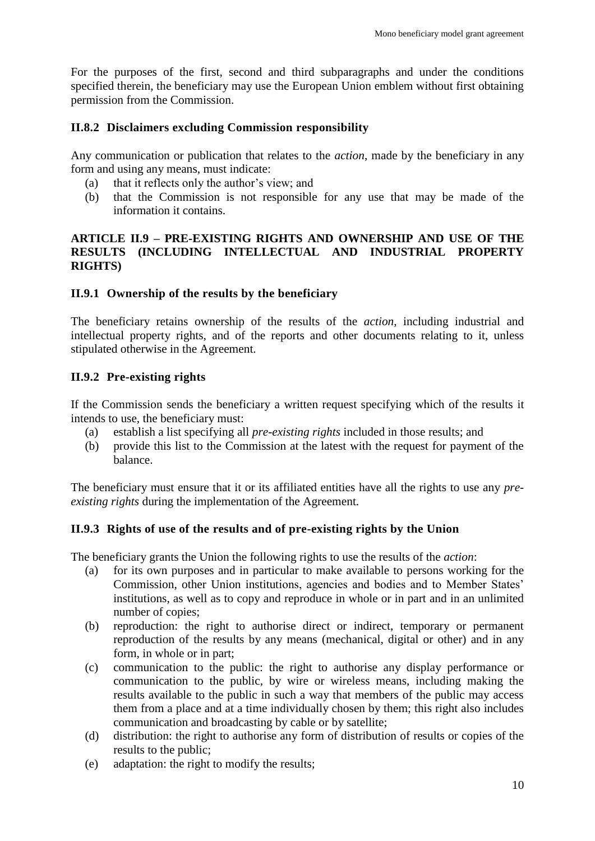For the purposes of the first, second and third subparagraphs and under the conditions specified therein, the beneficiary may use the European Union emblem without first obtaining permission from the Commission.

#### <span id="page-9-0"></span>**II.8.2 Disclaimers excluding Commission responsibility**

Any communication or publication that relates to the *action*, made by the beneficiary in any form and using any means, must indicate:

- (a) that it reflects only the author's view; and
- (b) that the Commission is not responsible for any use that may be made of the information it contains.

#### <span id="page-9-1"></span>**ARTICLE II.9 – PRE-EXISTING RIGHTS AND OWNERSHIP AND USE OF THE RESULTS (INCLUDING INTELLECTUAL AND INDUSTRIAL PROPERTY RIGHTS)**

#### <span id="page-9-2"></span>**II.9.1 Ownership of the results by the beneficiary**

The beneficiary retains ownership of the results of the *action*, including industrial and intellectual property rights, and of the reports and other documents relating to it, unless stipulated otherwise in the Agreement.

### <span id="page-9-3"></span>**II.9.2 Pre-existing rights**

If the Commission sends the beneficiary a written request specifying which of the results it intends to use, the beneficiary must:

- (a) establish a list specifying all *pre-existing rights* included in those results; and
- (b) provide this list to the Commission at the latest with the request for payment of the balance.

The beneficiary must ensure that it or its affiliated entities have all the rights to use any *preexisting rights* during the implementation of the Agreement.

### <span id="page-9-4"></span>**II.9.3 Rights of use of the results and of pre-existing rights by the Union**

The beneficiary grants the Union the following rights to use the results of the *action*:

- (a) for its own purposes and in particular to make available to persons working for the Commission, other Union institutions, agencies and bodies and to Member States' institutions, as well as to copy and reproduce in whole or in part and in an unlimited number of copies;
- (b) reproduction: the right to authorise direct or indirect, temporary or permanent reproduction of the results by any means (mechanical, digital or other) and in any form, in whole or in part;
- (c) communication to the public: the right to authorise any display performance or communication to the public, by wire or wireless means, including making the results available to the public in such a way that members of the public may access them from a place and at a time individually chosen by them; this right also includes communication and broadcasting by cable or by satellite;
- (d) distribution: the right to authorise any form of distribution of results or copies of the results to the public;
- (e) adaptation: the right to modify the results;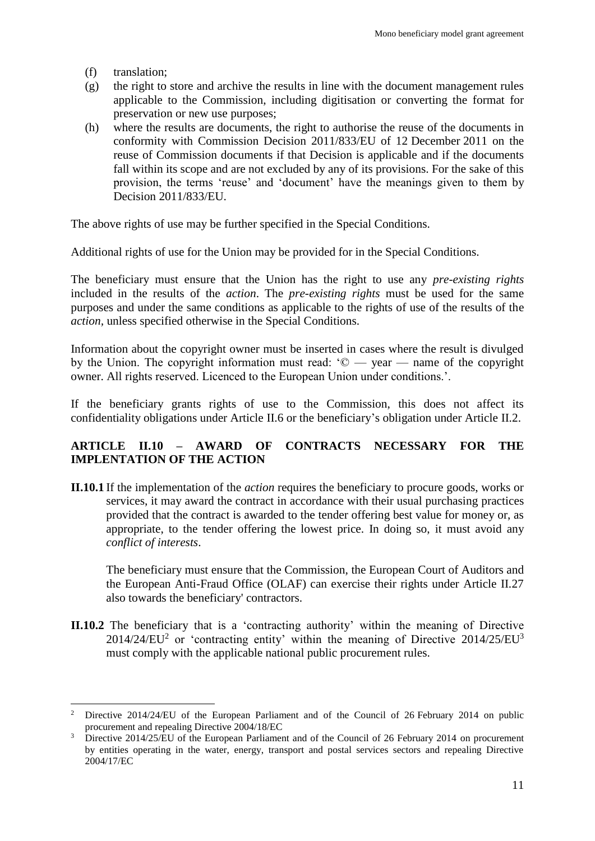(f) translation;

 $\overline{a}$ 

- (g) the right to store and archive the results in line with the document management rules applicable to the Commission, including digitisation or converting the format for preservation or new use purposes;
- (h) where the results are documents, the right to authorise the reuse of the documents in conformity with Commission Decision 2011/833/EU of 12 December 2011 on the reuse of Commission documents if that Decision is applicable and if the documents fall within its scope and are not excluded by any of its provisions. For the sake of this provision, the terms 'reuse' and 'document' have the meanings given to them by Decision 2011/833/EU.

The above rights of use may be further specified in the Special Conditions.

Additional rights of use for the Union may be provided for in the Special Conditions.

The beneficiary must ensure that the Union has the right to use any *pre-existing rights* included in the results of the *action*. The *pre-existing rights* must be used for the same purposes and under the same conditions as applicable to the rights of use of the results of the *action,* unless specified otherwise in the Special Conditions.

Information about the copyright owner must be inserted in cases where the result is divulged by the Union. The copyright information must read:  $\degree$   $\degree$   $\degree$   $\degree$   $\degree$   $\degree$   $\degree$  annes of the copyright owner. All rights reserved. Licenced to the European Union under conditions.'.

If the beneficiary grants rights of use to the Commission, this does not affect its confidentiality obligations under Article II.6 or the beneficiary's obligation under Article II.2.

## <span id="page-10-0"></span>**ARTICLE II.10 – AWARD OF CONTRACTS NECESSARY FOR THE IMPLENTATION OF THE ACTION**

**II.10.1** If the implementation of the *action* requires the beneficiary to procure goods, works or services, it may award the contract in accordance with their usual purchasing practices provided that the contract is awarded to the tender offering best value for money or, as appropriate, to the tender offering the lowest price. In doing so, it must avoid any *conflict of interests*.

The beneficiary must ensure that the Commission, the European Court of Auditors and the European Anti-Fraud Office (OLAF) can exercise their rights under Article II.27 also towards the beneficiary' contractors.

**II.10.2** The beneficiary that is a 'contracting authority' within the meaning of Directive  $2014/24/EU<sup>2</sup>$  or 'contracting entity' within the meaning of Directive  $2014/25/EU<sup>3</sup>$ must comply with the applicable national public procurement rules.

<sup>2</sup> Directive 2014/24/EU of the European Parliament and of the Council of 26 February 2014 on public procurement and repealing Directive 2004/18/EC

<sup>&</sup>lt;sup>3</sup> Directive 2014/25/EU of the European Parliament and of the Council of 26 February 2014 on procurement by entities operating in the water, energy, transport and postal services sectors and repealing Directive 2004/17/EC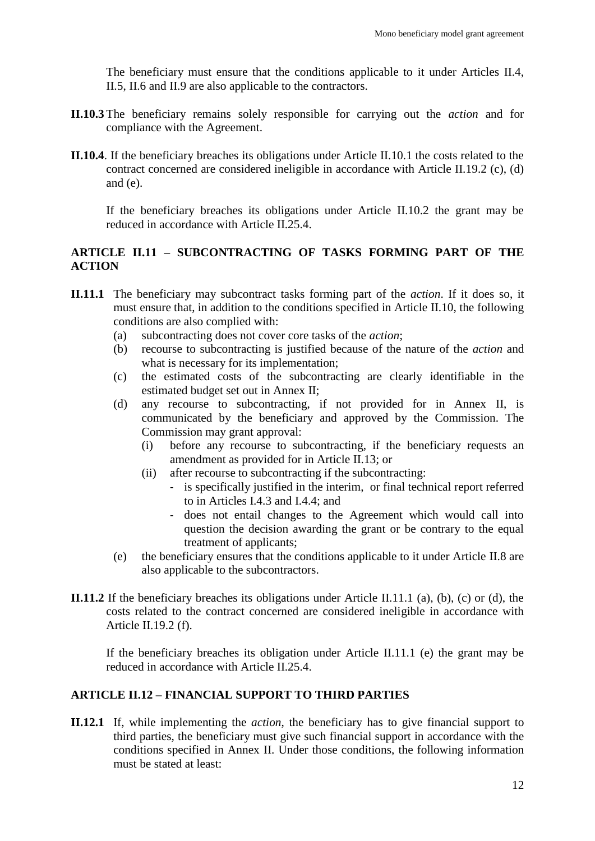The beneficiary must ensure that the conditions applicable to it under Articles II.4, II.5, II.6 and II.9 are also applicable to the contractors.

- **II.10.3** The beneficiary remains solely responsible for carrying out the *action* and for compliance with the Agreement.
- **II.10.4**. If the beneficiary breaches its obligations under Article II.10.1 the costs related to the contract concerned are considered ineligible in accordance with Article II.19.2 (c), (d) and (e).

If the beneficiary breaches its obligations under Article II.10.2 the grant may be reduced in accordance with Article II.25.4.

### <span id="page-11-0"></span>**ARTICLE II.11 – SUBCONTRACTING OF TASKS FORMING PART OF THE ACTION**

- **II.11.1** The beneficiary may subcontract tasks forming part of the *action*. If it does so, it must ensure that, in addition to the conditions specified in Article II.10, the following conditions are also complied with:
	- (a) subcontracting does not cover core tasks of the *action*;
	- (b) recourse to subcontracting is justified because of the nature of the *action* and what is necessary for its implementation;
	- (c) the estimated costs of the subcontracting are clearly identifiable in the estimated budget set out in Annex II;
	- (d) any recourse to subcontracting, if not provided for in Annex II, is communicated by the beneficiary and approved by the Commission. The Commission may grant approval:
		- (i) before any recourse to subcontracting, if the beneficiary requests an amendment as provided for in Article II.13; or
		- (ii) after recourse to subcontracting if the subcontracting:
			- is specifically justified in the interim, or final technical report referred to in Articles I.4.3 and I.4.4; and
			- does not entail changes to the Agreement which would call into question the decision awarding the grant or be contrary to the equal treatment of applicants;
	- (e) the beneficiary ensures that the conditions applicable to it under Article II.8 are also applicable to the subcontractors.
- **II.11.2** If the beneficiary breaches its obligations under Article II.11.1 (a), (b), (c) or (d), the costs related to the contract concerned are considered ineligible in accordance with Article II.19.2 (f).

If the beneficiary breaches its obligation under Article II.11.1 (e) the grant may be reduced in accordance with Article II.25.4.

### <span id="page-11-1"></span>**ARTICLE II.12 – FINANCIAL SUPPORT TO THIRD PARTIES**

**II.12.1** If, while implementing the *action*, the beneficiary has to give financial support to third parties, the beneficiary must give such financial support in accordance with the conditions specified in Annex II. Under those conditions, the following information must be stated at least: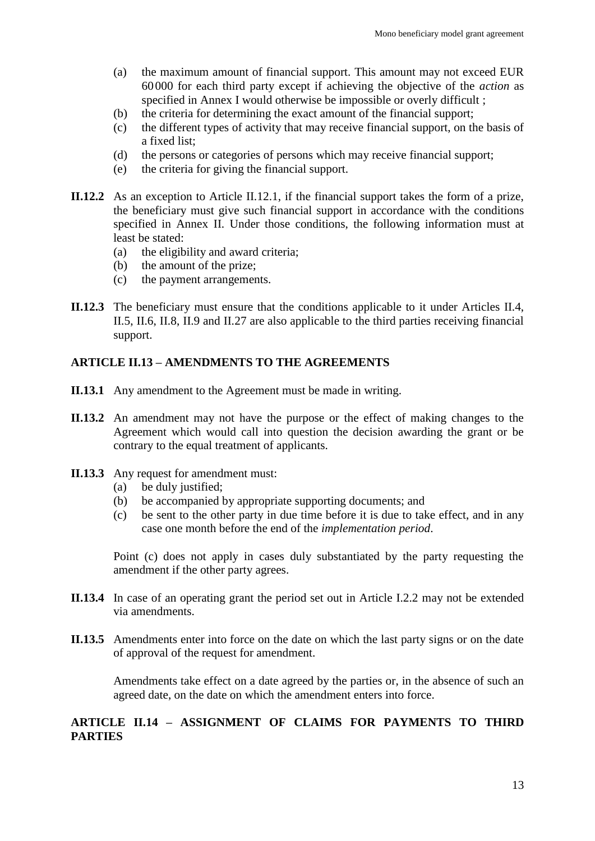- (a) the maximum amount of financial support. This amount may not exceed EUR 60000 for each third party except if achieving the objective of the *action* as specified in Annex I would otherwise be impossible or overly difficult ;
- (b) the criteria for determining the exact amount of the financial support;
- (c) the different types of activity that may receive financial support, on the basis of a fixed list;
- (d) the persons or categories of persons which may receive financial support;
- (e) the criteria for giving the financial support.
- **II.12.2** As an exception to Article II.12.1, if the financial support takes the form of a prize, the beneficiary must give such financial support in accordance with the conditions specified in Annex II. Under those conditions, the following information must at least be stated:
	- (a) the eligibility and award criteria;
	- (b) the amount of the prize;
	- (c) the payment arrangements.
- **II.12.3** The beneficiary must ensure that the conditions applicable to it under Articles II.4, II.5, II.6, II.8, II.9 and II.27 are also applicable to the third parties receiving financial support.

#### <span id="page-12-0"></span>**ARTICLE II.13 – AMENDMENTS TO THE AGREEMENTS**

- **II.13.1** Any amendment to the Agreement must be made in writing.
- **II.13.2** An amendment may not have the purpose or the effect of making changes to the Agreement which would call into question the decision awarding the grant or be contrary to the equal treatment of applicants.
- **II.13.3** Any request for amendment must:
	- (a) be duly justified;
	- (b) be accompanied by appropriate supporting documents; and
	- (c) be sent to the other party in due time before it is due to take effect, and in any case one month before the end of the *implementation period*.

Point (c) does not apply in cases duly substantiated by the party requesting the amendment if the other party agrees.

- **II.13.4** In case of an operating grant the period set out in Article I.2.2 may not be extended via amendments.
- **II.13.5** Amendments enter into force on the date on which the last party signs or on the date of approval of the request for amendment.

Amendments take effect on a date agreed by the parties or, in the absence of such an agreed date, on the date on which the amendment enters into force.

## <span id="page-12-1"></span>**ARTICLE II.14 – ASSIGNMENT OF CLAIMS FOR PAYMENTS TO THIRD PARTIES**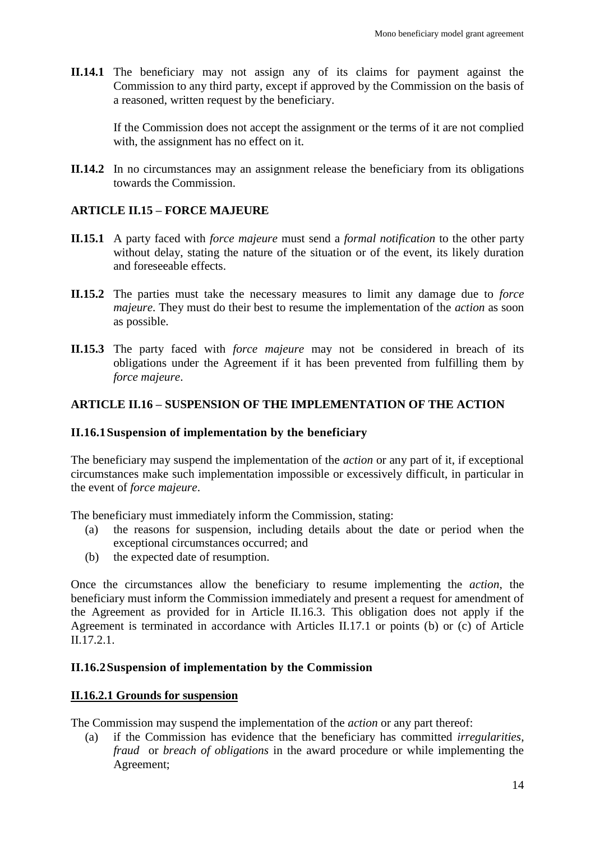**II.14.1** The beneficiary may not assign any of its claims for payment against the Commission to any third party, except if approved by the Commission on the basis of a reasoned, written request by the beneficiary.

If the Commission does not accept the assignment or the terms of it are not complied with, the assignment has no effect on it.

**II.14.2** In no circumstances may an assignment release the beneficiary from its obligations towards the Commission.

### <span id="page-13-0"></span>**ARTICLE II.15 – FORCE MAJEURE**

- **II.15.1** A party faced with *force majeure* must send a *formal notification* to the other party without delay, stating the nature of the situation or of the event, its likely duration and foreseeable effects.
- **II.15.2** The parties must take the necessary measures to limit any damage due to *force majeure*. They must do their best to resume the implementation of the *action* as soon as possible.
- **II.15.3** The party faced with *force majeure* may not be considered in breach of its obligations under the Agreement if it has been prevented from fulfilling them by *force majeure*.

### <span id="page-13-1"></span>**ARTICLE II.16 – SUSPENSION OF THE IMPLEMENTATION OF THE ACTION**

### <span id="page-13-2"></span>**II.16.1Suspension of implementation by the beneficiary**

The beneficiary may suspend the implementation of the *action* or any part of it, if exceptional circumstances make such implementation impossible or excessively difficult, in particular in the event of *force majeure*.

The beneficiary must immediately inform the Commission, stating:

- (a) the reasons for suspension, including details about the date or period when the exceptional circumstances occurred; and
- (b) the expected date of resumption.

Once the circumstances allow the beneficiary to resume implementing the *action*, the beneficiary must inform the Commission immediately and present a request for amendment of the Agreement as provided for in Article II.16.3. This obligation does not apply if the Agreement is terminated in accordance with Articles II.17.1 or points (b) or (c) of Article II.17.2.1.

#### <span id="page-13-3"></span>**II.16.2Suspension of implementation by the Commission**

#### **II.16.2.1 Grounds for suspension**

The Commission may suspend the implementation of the *action* or any part thereof:

(a) if the Commission has evidence that the beneficiary has committed *irregularities*, *fraud* or *breach of obligations* in the award procedure or while implementing the Agreement;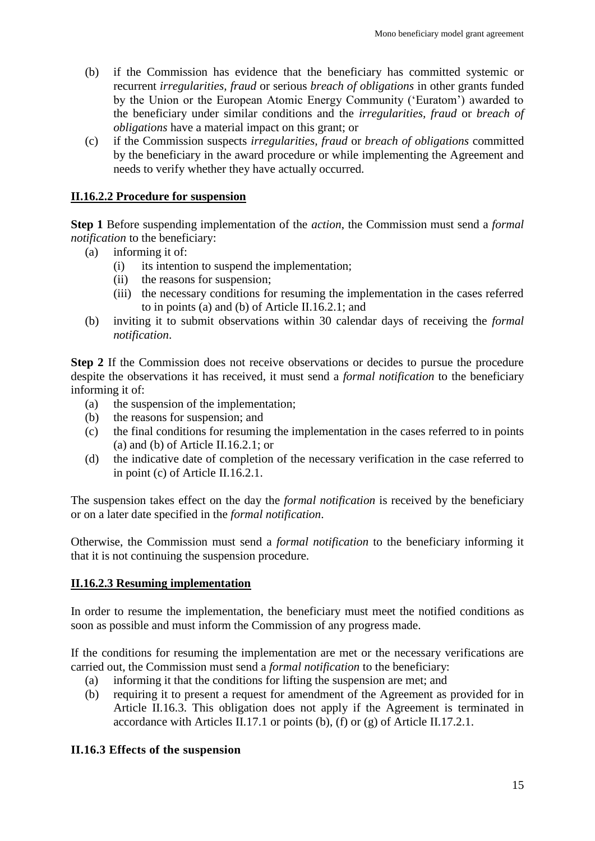- (b) if the Commission has evidence that the beneficiary has committed systemic or recurrent *irregularities, fraud* or serious *breach of obligations* in other grants funded by the Union or the European Atomic Energy Community ('Euratom') awarded to the beneficiary under similar conditions and the *irregularities, fraud* or *breach of obligations* have a material impact on this grant; or
- (c) if the Commission suspects *irregularities, fraud* or *breach of obligations* committed by the beneficiary in the award procedure or while implementing the Agreement and needs to verify whether they have actually occurred.

#### **II.16.2.2 Procedure for suspension**

**Step 1** Before suspending implementation of the *action*, the Commission must send a *formal notification* to the beneficiary:

- (a) informing it of:
	- (i) its intention to suspend the implementation;
	- (ii) the reasons for suspension;
	- (iii) the necessary conditions for resuming the implementation in the cases referred to in points (a) and (b) of Article II.16.2.1; and
- (b) inviting it to submit observations within 30 calendar days of receiving the *formal notification*.

**Step 2** If the Commission does not receive observations or decides to pursue the procedure despite the observations it has received, it must send a *formal notification* to the beneficiary informing it of:

- (a) the suspension of the implementation;
- (b) the reasons for suspension; and
- (c) the final conditions for resuming the implementation in the cases referred to in points (a) and (b) of Article II.16.2.1; or
- (d) the indicative date of completion of the necessary verification in the case referred to in point (c) of Article II.16.2.1.

The suspension takes effect on the day the *formal notification* is received by the beneficiary or on a later date specified in the *formal notification*.

Otherwise, the Commission must send a *formal notification* to the beneficiary informing it that it is not continuing the suspension procedure.

### **II.16.2.3 Resuming implementation**

In order to resume the implementation, the beneficiary must meet the notified conditions as soon as possible and must inform the Commission of any progress made.

If the conditions for resuming the implementation are met or the necessary verifications are carried out, the Commission must send a *formal notification* to the beneficiary:

- (a) informing it that the conditions for lifting the suspension are met; and
- (b) requiring it to present a request for amendment of the Agreement as provided for in Article II.16.3. This obligation does not apply if the Agreement is terminated in accordance with Articles II.17.1 or points (b), (f) or (g) of Article II.17.2.1.

#### <span id="page-14-0"></span>**II.16.3 Effects of the suspension**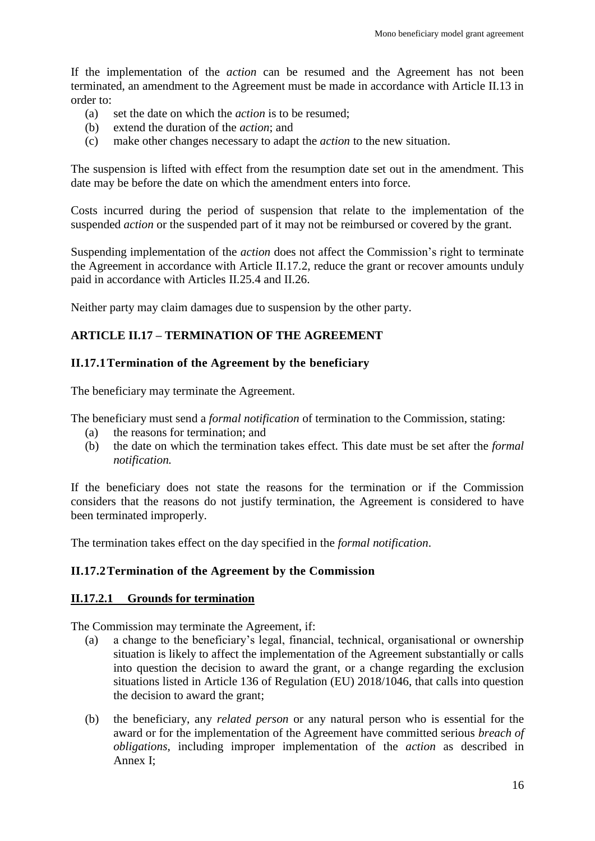If the implementation of the *action* can be resumed and the Agreement has not been terminated, an amendment to the Agreement must be made in accordance with Article II.13 in order to:

- (a) set the date on which the *action* is to be resumed;
- (b) extend the duration of the *action*; and
- (c) make other changes necessary to adapt the *action* to the new situation.

The suspension is lifted with effect from the resumption date set out in the amendment. This date may be before the date on which the amendment enters into force.

Costs incurred during the period of suspension that relate to the implementation of the suspended *action* or the suspended part of it may not be reimbursed or covered by the grant.

Suspending implementation of the *action* does not affect the Commission's right to terminate the Agreement in accordance with Article II.17.2, reduce the grant or recover amounts unduly paid in accordance with Articles II.25.4 and II.26.

Neither party may claim damages due to suspension by the other party.

## <span id="page-15-0"></span>**ARTICLE II.17 – TERMINATION OF THE AGREEMENT**

### <span id="page-15-1"></span>**II.17.1Termination of the Agreement by the beneficiary**

The beneficiary may terminate the Agreement.

The beneficiary must send a *formal notification* of termination to the Commission, stating:

- (a) the reasons for termination; and
- (b) the date on which the termination takes effect. This date must be set after the *formal notification.*

If the beneficiary does not state the reasons for the termination or if the Commission considers that the reasons do not justify termination, the Agreement is considered to have been terminated improperly.

The termination takes effect on the day specified in the *formal notification*.

### <span id="page-15-2"></span>**II.17.2Termination of the Agreement by the Commission**

#### **II.17.2.1 Grounds for termination**

The Commission may terminate the Agreement, if:

- (a) a change to the beneficiary's legal, financial, technical, organisational or ownership situation is likely to affect the implementation of the Agreement substantially or calls into question the decision to award the grant, or a change regarding the exclusion situations listed in Article 136 of Regulation (EU) 2018/1046, that calls into question the decision to award the grant;
- (b) the beneficiary, any *related person* or any natural person who is essential for the award or for the implementation of the Agreement have committed serious *breach of obligations*, including improper implementation of the *action* as described in Annex I;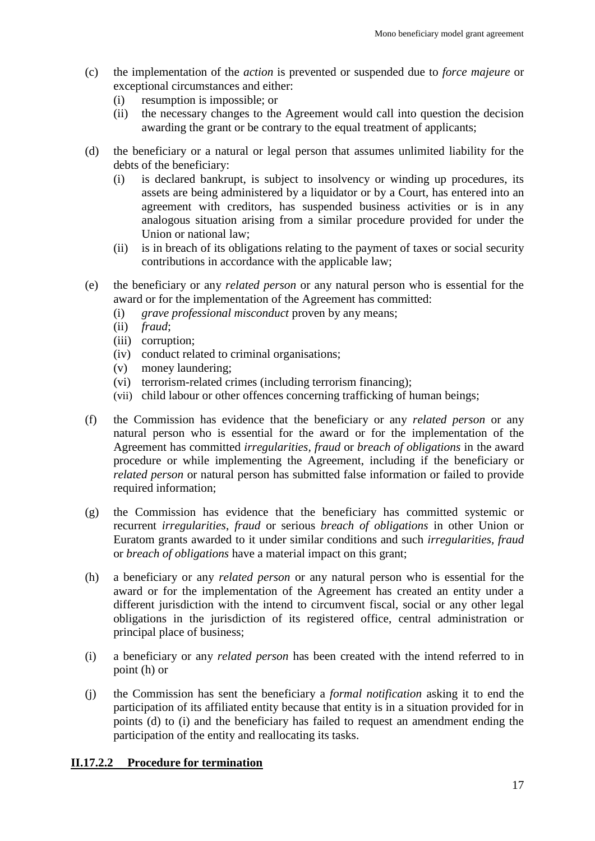- (c) the implementation of the *action* is prevented or suspended due to *force majeure* or exceptional circumstances and either:
	- (i) resumption is impossible; or
	- (ii) the necessary changes to the Agreement would call into question the decision awarding the grant or be contrary to the equal treatment of applicants;
- (d) the beneficiary or a natural or legal person that assumes unlimited liability for the debts of the beneficiary:
	- (i) is declared bankrupt, is subject to insolvency or winding up procedures, its assets are being administered by a liquidator or by a Court, has entered into an agreement with creditors, has suspended business activities or is in any analogous situation arising from a similar procedure provided for under the Union or national law;
	- (ii) is in breach of its obligations relating to the payment of taxes or social security contributions in accordance with the applicable law;
- (e) the beneficiary or any *related person* or any natural person who is essential for the award or for the implementation of the Agreement has committed:
	- (i) *grave professional misconduct* proven by any means;
	- (ii) *fraud*;
	- (iii) corruption;
	- (iv) conduct related to criminal organisations;
	- (v) money laundering;
	- (vi) terrorism-related crimes (including terrorism financing);
	- (vii) child labour or other offences concerning trafficking of human beings;
- (f) the Commission has evidence that the beneficiary or any *related person* or any natural person who is essential for the award or for the implementation of the Agreement has committed *irregularities, fraud* or *breach of obligations* in the award procedure or while implementing the Agreement, including if the beneficiary or *related person* or natural person has submitted false information or failed to provide required information;
- (g) the Commission has evidence that the beneficiary has committed systemic or recurrent *irregularities*, *fraud* or serious *breach of obligations* in other Union or Euratom grants awarded to it under similar conditions and such *irregularities, fraud* or *breach of obligations* have a material impact on this grant;
- (h) a beneficiary or any *related person* or any natural person who is essential for the award or for the implementation of the Agreement has created an entity under a different jurisdiction with the intend to circumvent fiscal, social or any other legal obligations in the jurisdiction of its registered office, central administration or principal place of business;
- (i) a beneficiary or any *related person* has been created with the intend referred to in point (h) or
- (j) the Commission has sent the beneficiary a *formal notification* asking it to end the participation of its affiliated entity because that entity is in a situation provided for in points (d) to (i) and the beneficiary has failed to request an amendment ending the participation of the entity and reallocating its tasks.

#### **II.17.2.2 Procedure for termination**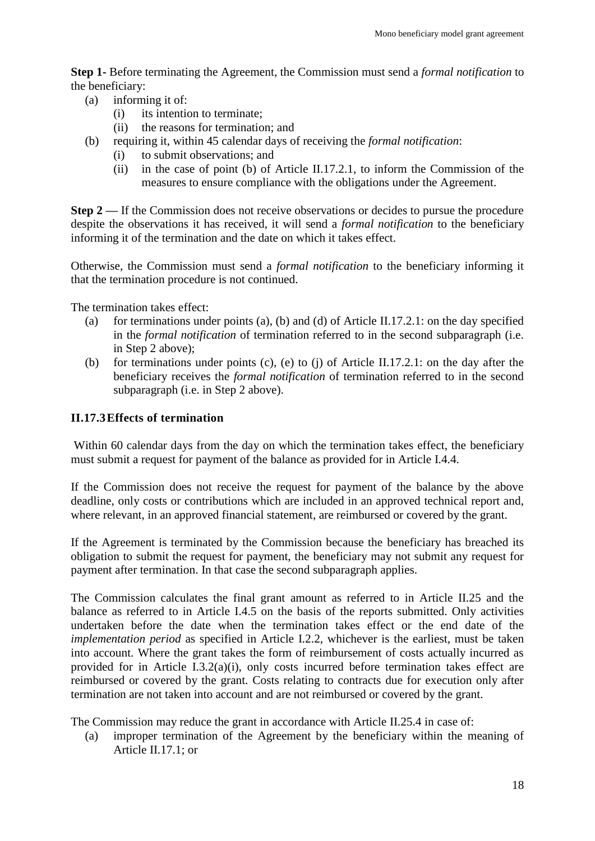**Step 1-** Before terminating the Agreement, the Commission must send a *formal notification* to the beneficiary:

- (a) informing it of:
	- (i) its intention to terminate;
	- (ii) the reasons for termination; and
- (b) requiring it, within 45 calendar days of receiving the *formal notification*:
	- (i) to submit observations; and
	- (ii) in the case of point (b) of Article II.17.2.1, to inform the Commission of the measures to ensure compliance with the obligations under the Agreement.

**Step 2** — If the Commission does not receive observations or decides to pursue the procedure despite the observations it has received, it will send a *formal notification* to the beneficiary informing it of the termination and the date on which it takes effect.

Otherwise, the Commission must send a *formal notification* to the beneficiary informing it that the termination procedure is not continued.

The termination takes effect:

- (a) for terminations under points (a), (b) and (d) of Article II.17.2.1: on the day specified in the *formal notification* of termination referred to in the second subparagraph (i.e. in Step 2 above);
- (b) for terminations under points (c), (e) to (j) of Article II.17.2.1: on the day after the beneficiary receives the *formal notification* of termination referred to in the second subparagraph (i.e. in Step 2 above).

#### <span id="page-17-0"></span>**II.17.3Effects of termination**

Within 60 calendar days from the day on which the termination takes effect, the beneficiary must submit a request for payment of the balance as provided for in Article I.4.4.

If the Commission does not receive the request for payment of the balance by the above deadline, only costs or contributions which are included in an approved technical report and, where relevant, in an approved financial statement, are reimbursed or covered by the grant.

If the Agreement is terminated by the Commission because the beneficiary has breached its obligation to submit the request for payment, the beneficiary may not submit any request for payment after termination. In that case the second subparagraph applies.

The Commission calculates the final grant amount as referred to in Article II.25 and the balance as referred to in Article I.4.5 on the basis of the reports submitted. Only activities undertaken before the date when the termination takes effect or the end date of the *implementation period* as specified in Article I.2.2, whichever is the earliest, must be taken into account. Where the grant takes the form of reimbursement of costs actually incurred as provided for in Article I.3.2(a)(i), only costs incurred before termination takes effect are reimbursed or covered by the grant. Costs relating to contracts due for execution only after termination are not taken into account and are not reimbursed or covered by the grant.

The Commission may reduce the grant in accordance with Article II.25.4 in case of:

(a) improper termination of the Agreement by the beneficiary within the meaning of Article II.17.1; or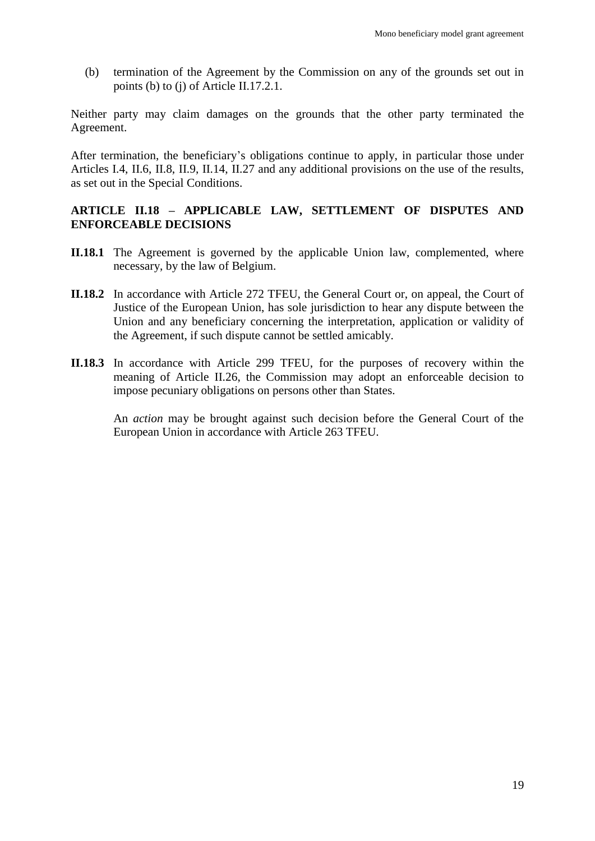(b) termination of the Agreement by the Commission on any of the grounds set out in points (b) to (j) of Article II.17.2.1.

Neither party may claim damages on the grounds that the other party terminated the Agreement.

After termination, the beneficiary's obligations continue to apply, in particular those under Articles I.4, II.6, II.8, II.9, II.14, II.27 and any additional provisions on the use of the results, as set out in the Special Conditions.

#### <span id="page-18-0"></span>**ARTICLE II.18 – APPLICABLE LAW, SETTLEMENT OF DISPUTES AND ENFORCEABLE DECISIONS**

- **II.18.1** The Agreement is governed by the applicable Union law, complemented, where necessary, by the law of Belgium.
- **II.18.2** In accordance with Article 272 TFEU, the General Court or, on appeal, the Court of Justice of the European Union, has sole jurisdiction to hear any dispute between the Union and any beneficiary concerning the interpretation, application or validity of the Agreement, if such dispute cannot be settled amicably.
- **II.18.3** In accordance with Article 299 TFEU, for the purposes of recovery within the meaning of Article II.26, the Commission may adopt an enforceable decision to impose pecuniary obligations on persons other than States.

An *action* may be brought against such decision before the General Court of the European Union in accordance with Article 263 TFEU.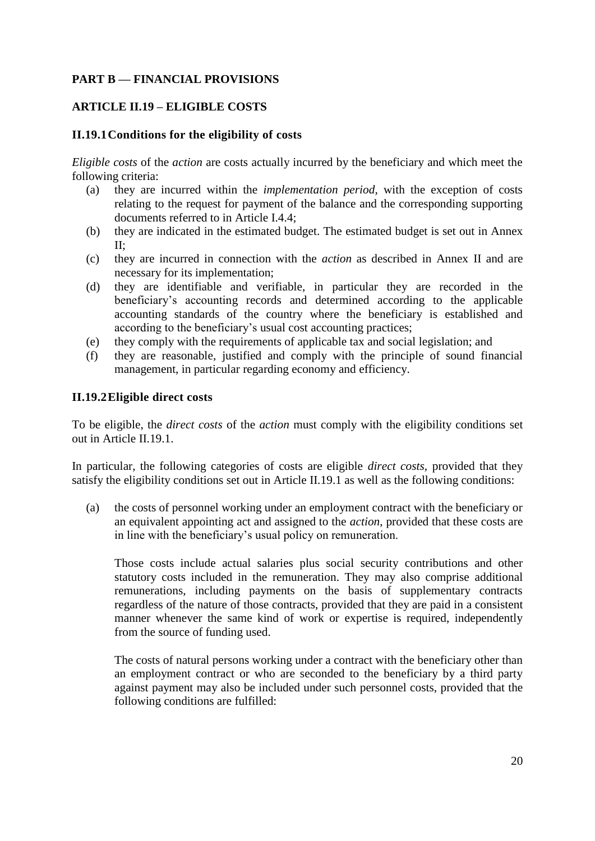## <span id="page-19-0"></span>**PART B — FINANCIAL PROVISIONS**

### <span id="page-19-1"></span>**ARTICLE II.19 – ELIGIBLE COSTS**

#### <span id="page-19-2"></span>**II.19.1Conditions for the eligibility of costs**

*Eligible costs* of the *action* are costs actually incurred by the beneficiary and which meet the following criteria:

- (a) they are incurred within the *implementation period*, with the exception of costs relating to the request for payment of the balance and the corresponding supporting documents referred to in Article I.4.4;
- (b) they are indicated in the estimated budget. The estimated budget is set out in Annex II;
- (c) they are incurred in connection with the *action* as described in Annex II and are necessary for its implementation;
- (d) they are identifiable and verifiable, in particular they are recorded in the beneficiary's accounting records and determined according to the applicable accounting standards of the country where the beneficiary is established and according to the beneficiary's usual cost accounting practices;
- (e) they comply with the requirements of applicable tax and social legislation; and
- (f) they are reasonable, justified and comply with the principle of sound financial management, in particular regarding economy and efficiency.

#### <span id="page-19-3"></span>**II.19.2Eligible direct costs**

To be eligible, the *direct costs* of the *action* must comply with the eligibility conditions set out in Article II.19.1.

In particular, the following categories of costs are eligible *direct costs*, provided that they satisfy the eligibility conditions set out in Article II.19.1 as well as the following conditions:

(a) the costs of personnel working under an employment contract with the beneficiary or an equivalent appointing act and assigned to the *action*, provided that these costs are in line with the beneficiary's usual policy on remuneration.

Those costs include actual salaries plus social security contributions and other statutory costs included in the remuneration. They may also comprise additional remunerations, including payments on the basis of supplementary contracts regardless of the nature of those contracts, provided that they are paid in a consistent manner whenever the same kind of work or expertise is required, independently from the source of funding used.

The costs of natural persons working under a contract with the beneficiary other than an employment contract or who are seconded to the beneficiary by a third party against payment may also be included under such personnel costs, provided that the following conditions are fulfilled: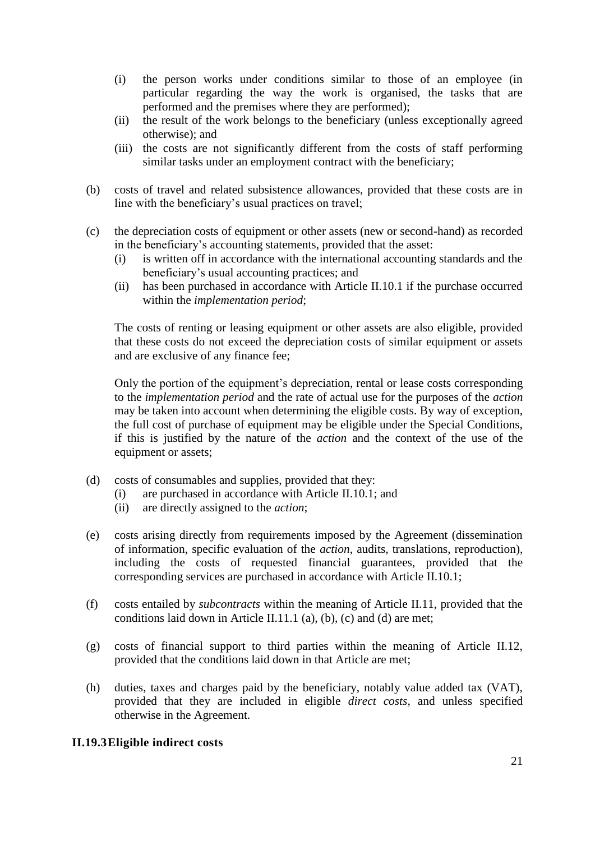- (i) the person works under conditions similar to those of an employee (in particular regarding the way the work is organised, the tasks that are performed and the premises where they are performed);
- (ii) the result of the work belongs to the beneficiary (unless exceptionally agreed otherwise); and
- (iii) the costs are not significantly different from the costs of staff performing similar tasks under an employment contract with the beneficiary;
- (b) costs of travel and related subsistence allowances, provided that these costs are in line with the beneficiary's usual practices on travel;
- (c) the depreciation costs of equipment or other assets (new or second-hand) as recorded in the beneficiary's accounting statements, provided that the asset:
	- (i) is written off in accordance with the international accounting standards and the beneficiary's usual accounting practices; and
	- (ii) has been purchased in accordance with Article II.10.1 if the purchase occurred within the *implementation period*;

The costs of renting or leasing equipment or other assets are also eligible, provided that these costs do not exceed the depreciation costs of similar equipment or assets and are exclusive of any finance fee;

Only the portion of the equipment's depreciation, rental or lease costs corresponding to the *implementation period* and the rate of actual use for the purposes of the *action* may be taken into account when determining the eligible costs. By way of exception, the full cost of purchase of equipment may be eligible under the Special Conditions, if this is justified by the nature of the *action* and the context of the use of the equipment or assets;

- (d) costs of consumables and supplies, provided that they:
	- (i) are purchased in accordance with Article II.10.1; and
	- (ii) are directly assigned to the *action*;
- (e) costs arising directly from requirements imposed by the Agreement (dissemination of information, specific evaluation of the *action*, audits, translations, reproduction), including the costs of requested financial guarantees, provided that the corresponding services are purchased in accordance with Article II.10.1;
- (f) costs entailed by *subcontracts* within the meaning of Article II.11, provided that the conditions laid down in Article II.11.1 (a), (b), (c) and (d) are met;
- (g) costs of financial support to third parties within the meaning of Article II.12, provided that the conditions laid down in that Article are met;
- (h) duties, taxes and charges paid by the beneficiary, notably value added tax (VAT), provided that they are included in eligible *direct costs*, and unless specified otherwise in the Agreement.

### <span id="page-20-0"></span>**II.19.3Eligible indirect costs**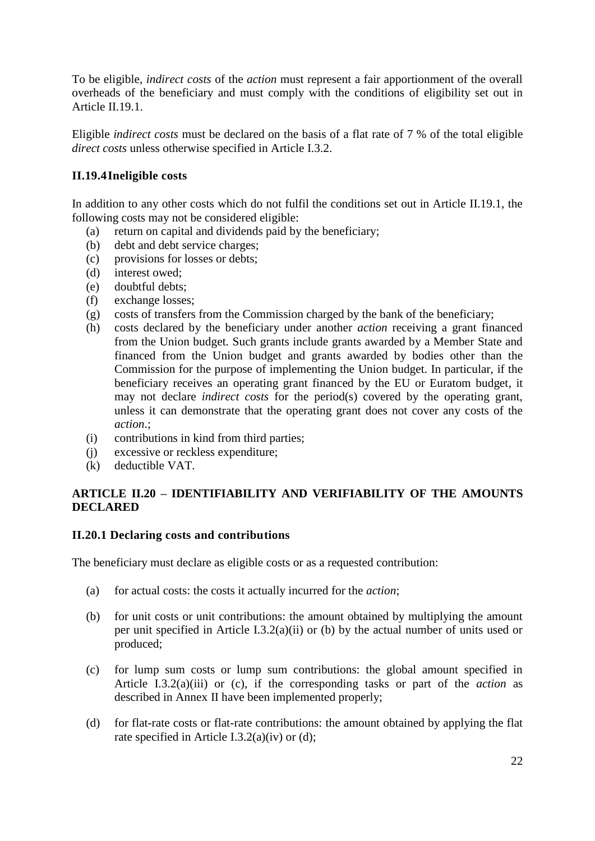To be eligible, *indirect costs* of the *action* must represent a fair apportionment of the overall overheads of the beneficiary and must comply with the conditions of eligibility set out in Article II.19.1.

Eligible *indirect costs* must be declared on the basis of a flat rate of 7 % of the total eligible *direct costs* unless otherwise specified in Article I.3.2.

### <span id="page-21-0"></span>**II.19.4Ineligible costs**

In addition to any other costs which do not fulfil the conditions set out in Article II.19.1, the following costs may not be considered eligible:

- (a) return on capital and dividends paid by the beneficiary;
- (b) debt and debt service charges;
- (c) provisions for losses or debts;
- (d) interest owed;
- (e) doubtful debts;
- (f) exchange losses;
- (g) costs of transfers from the Commission charged by the bank of the beneficiary;
- (h) costs declared by the beneficiary under another *action* receiving a grant financed from the Union budget. Such grants include grants awarded by a Member State and financed from the Union budget and grants awarded by bodies other than the Commission for the purpose of implementing the Union budget. In particular, if the beneficiary receives an operating grant financed by the EU or Euratom budget, it may not declare *indirect costs* for the period(s) covered by the operating grant, unless it can demonstrate that the operating grant does not cover any costs of the *action*.;
- (i) contributions in kind from third parties;
- (j) excessive or reckless expenditure;
- (k) deductible VAT.

### <span id="page-21-1"></span>**ARTICLE II.20 – IDENTIFIABILITY AND VERIFIABILITY OF THE AMOUNTS DECLARED**

#### <span id="page-21-2"></span>**II.20.1 Declaring costs and contributions**

The beneficiary must declare as eligible costs or as a requested contribution:

- (a) for actual costs: the costs it actually incurred for the *action*;
- (b) for unit costs or unit contributions: the amount obtained by multiplying the amount per unit specified in Article I.3.2(a)(ii) or (b) by the actual number of units used or produced;
- (c) for lump sum costs or lump sum contributions: the global amount specified in Article I.3.2(a)(iii) or (c), if the corresponding tasks or part of the *action* as described in Annex II have been implemented properly;
- (d) for flat-rate costs or flat-rate contributions: the amount obtained by applying the flat rate specified in Article I.3.2(a)(iv) or (d);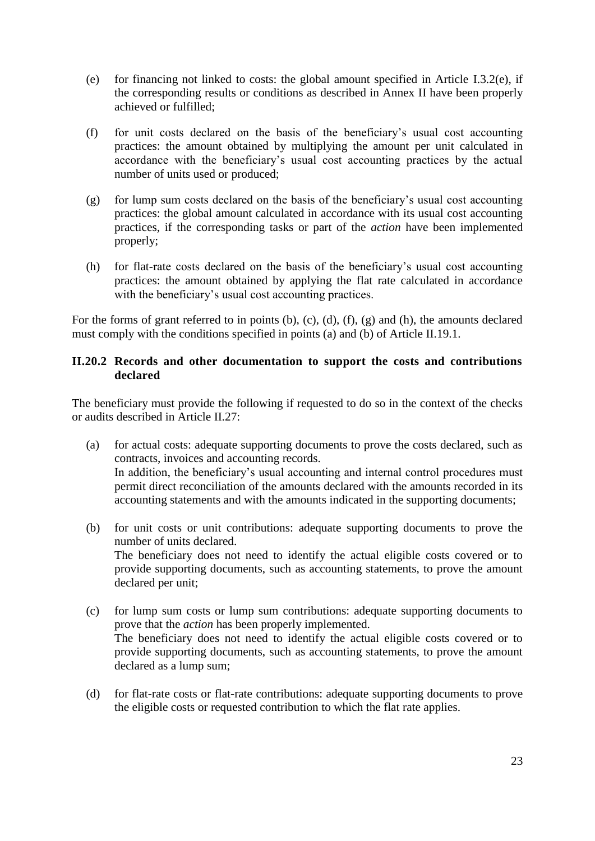- (e) for financing not linked to costs: the global amount specified in Article I.3.2(e), if the corresponding results or conditions as described in Annex II have been properly achieved or fulfilled;
- (f) for unit costs declared on the basis of the beneficiary's usual cost accounting practices: the amount obtained by multiplying the amount per unit calculated in accordance with the beneficiary's usual cost accounting practices by the actual number of units used or produced;
- (g) for lump sum costs declared on the basis of the beneficiary's usual cost accounting practices: the global amount calculated in accordance with its usual cost accounting practices, if the corresponding tasks or part of the *action* have been implemented properly;
- (h) for flat-rate costs declared on the basis of the beneficiary's usual cost accounting practices: the amount obtained by applying the flat rate calculated in accordance with the beneficiary's usual cost accounting practices.

For the forms of grant referred to in points (b), (c), (d), (f), (g) and (h), the amounts declared must comply with the conditions specified in points (a) and (b) of Article II.19.1.

### <span id="page-22-0"></span>**II.20.2 Records and other documentation to support the costs and contributions declared**

The beneficiary must provide the following if requested to do so in the context of the checks or audits described in Article II.27:

- (a) for actual costs: adequate supporting documents to prove the costs declared, such as contracts, invoices and accounting records. In addition, the beneficiary's usual accounting and internal control procedures must permit direct reconciliation of the amounts declared with the amounts recorded in its accounting statements and with the amounts indicated in the supporting documents;
- (b) for unit costs or unit contributions: adequate supporting documents to prove the number of units declared. The beneficiary does not need to identify the actual eligible costs covered or to provide supporting documents, such as accounting statements, to prove the amount declared per unit;
- (c) for lump sum costs or lump sum contributions: adequate supporting documents to prove that the *action* has been properly implemented. The beneficiary does not need to identify the actual eligible costs covered or to provide supporting documents, such as accounting statements, to prove the amount declared as a lump sum;
- (d) for flat-rate costs or flat-rate contributions: adequate supporting documents to prove the eligible costs or requested contribution to which the flat rate applies.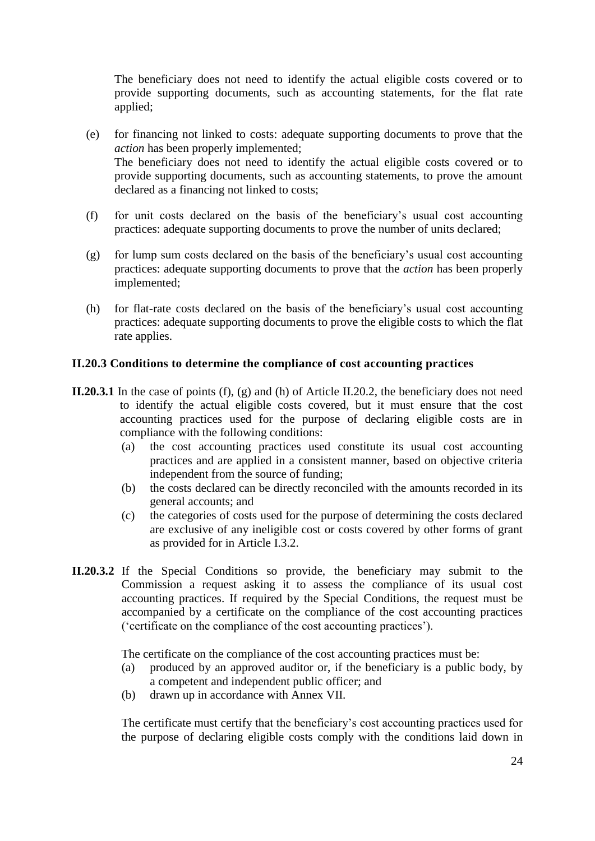The beneficiary does not need to identify the actual eligible costs covered or to provide supporting documents, such as accounting statements, for the flat rate applied;

- (e) for financing not linked to costs: adequate supporting documents to prove that the *action* has been properly implemented; The beneficiary does not need to identify the actual eligible costs covered or to provide supporting documents, such as accounting statements, to prove the amount declared as a financing not linked to costs;
- (f) for unit costs declared on the basis of the beneficiary's usual cost accounting practices: adequate supporting documents to prove the number of units declared;
- (g) for lump sum costs declared on the basis of the beneficiary's usual cost accounting practices: adequate supporting documents to prove that the *action* has been properly implemented;
- (h) for flat-rate costs declared on the basis of the beneficiary's usual cost accounting practices: adequate supporting documents to prove the eligible costs to which the flat rate applies.

#### <span id="page-23-0"></span>**II.20.3 Conditions to determine the compliance of cost accounting practices**

- **II.20.3.1** In the case of points (f), (g) and (h) of Article II.20.2, the beneficiary does not need to identify the actual eligible costs covered, but it must ensure that the cost accounting practices used for the purpose of declaring eligible costs are in compliance with the following conditions:
	- (a) the cost accounting practices used constitute its usual cost accounting practices and are applied in a consistent manner, based on objective criteria independent from the source of funding;
	- (b) the costs declared can be directly reconciled with the amounts recorded in its general accounts; and
	- (c) the categories of costs used for the purpose of determining the costs declared are exclusive of any ineligible cost or costs covered by other forms of grant as provided for in Article I.3.2.
- **II.20.3.2** If the Special Conditions so provide, the beneficiary may submit to the Commission a request asking it to assess the compliance of its usual cost accounting practices. If required by the Special Conditions, the request must be accompanied by a certificate on the compliance of the cost accounting practices ('certificate on the compliance of the cost accounting practices').

The certificate on the compliance of the cost accounting practices must be:

- (a) produced by an approved auditor or, if the beneficiary is a public body, by a competent and independent public officer; and
- (b) drawn up in accordance with Annex VII.

The certificate must certify that the beneficiary's cost accounting practices used for the purpose of declaring eligible costs comply with the conditions laid down in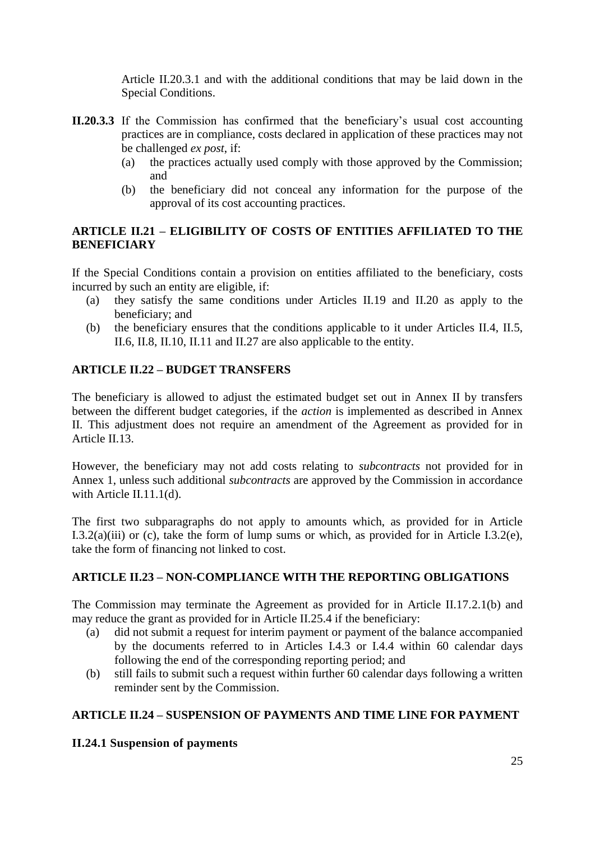Article II.20.3.1 and with the additional conditions that may be laid down in the Special Conditions.

- **II.20.3.3** If the Commission has confirmed that the beneficiary's usual cost accounting practices are in compliance, costs declared in application of these practices may not be challenged *ex post*, if:
	- (a) the practices actually used comply with those approved by the Commission; and
	- (b) the beneficiary did not conceal any information for the purpose of the approval of its cost accounting practices.

### <span id="page-24-0"></span>**ARTICLE II.21 – ELIGIBILITY OF COSTS OF ENTITIES AFFILIATED TO THE BENEFICIARY**

If the Special Conditions contain a provision on entities affiliated to the beneficiary, costs incurred by such an entity are eligible, if:

- (a) they satisfy the same conditions under Articles II.19 and II.20 as apply to the beneficiary; and
- (b) the beneficiary ensures that the conditions applicable to it under Articles II.4, II.5, II.6, II.8, II.10, II.11 and II.27 are also applicable to the entity.

## <span id="page-24-1"></span>**ARTICLE II.22 – BUDGET TRANSFERS**

The beneficiary is allowed to adjust the estimated budget set out in Annex II by transfers between the different budget categories, if the *action* is implemented as described in Annex II. This adjustment does not require an amendment of the Agreement as provided for in Article II.13.

However, the beneficiary may not add costs relating to *subcontracts* not provided for in Annex 1, unless such additional *subcontracts* are approved by the Commission in accordance with Article II.11.1(d).

The first two subparagraphs do not apply to amounts which, as provided for in Article I.3.2(a)(iii) or (c), take the form of lump sums or which, as provided for in Article I.3.2(e), take the form of financing not linked to cost.

### <span id="page-24-2"></span>**ARTICLE II.23 – NON-COMPLIANCE WITH THE REPORTING OBLIGATIONS**

The Commission may terminate the Agreement as provided for in Article II.17.2.1(b) and may reduce the grant as provided for in Article II.25.4 if the beneficiary:

- (a) did not submit a request for interim payment or payment of the balance accompanied by the documents referred to in Articles I.4.3 or I.4.4 within 60 calendar days following the end of the corresponding reporting period; and
- (b) still fails to submit such a request within further 60 calendar days following a written reminder sent by the Commission.

### <span id="page-24-3"></span>**ARTICLE II.24 – SUSPENSION OF PAYMENTS AND TIME LINE FOR PAYMENT**

<span id="page-24-4"></span>**II.24.1 Suspension of payments**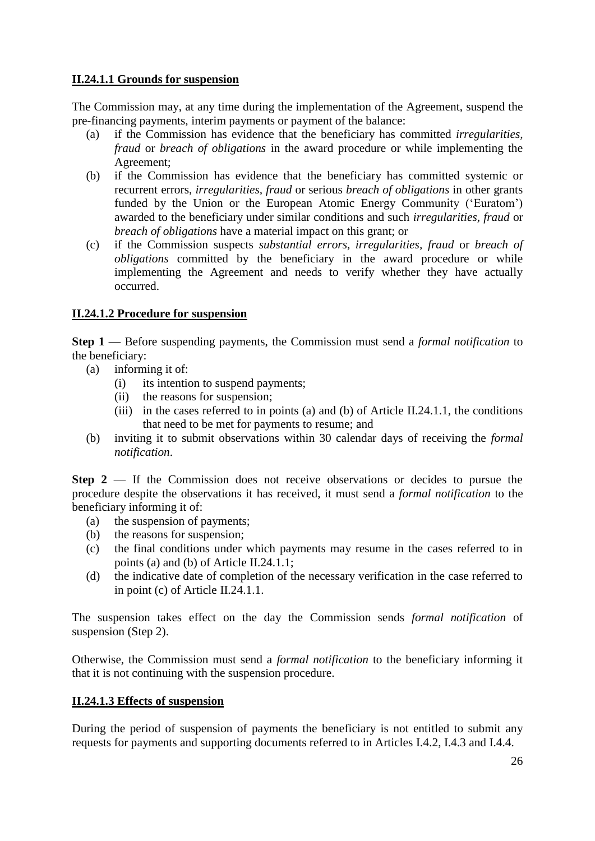#### **II.24.1.1 Grounds for suspension**

The Commission may, at any time during the implementation of the Agreement, suspend the pre-financing payments, interim payments or payment of the balance:

- (a) if the Commission has evidence that the beneficiary has committed *irregularities, fraud* or *breach of obligations* in the award procedure or while implementing the Agreement;
- (b) if the Commission has evidence that the beneficiary has committed systemic or recurrent errors, *irregularities, fraud* or serious *breach of obligations* in other grants funded by the Union or the European Atomic Energy Community ('Euratom') awarded to the beneficiary under similar conditions and such *irregularities, fraud* or *breach of obligations* have a material impact on this grant; or
- (c) if the Commission suspects *substantial errors, irregularities, fraud* or *breach of obligations* committed by the beneficiary in the award procedure or while implementing the Agreement and needs to verify whether they have actually occurred.

### **II.24.1.2 Procedure for suspension**

**Step 1 —** Before suspending payments, the Commission must send a *formal notification* to the beneficiary:

- (a) informing it of:
	- (i) its intention to suspend payments;
	- (ii) the reasons for suspension;
	- (iii) in the cases referred to in points (a) and (b) of Article II.24.1.1, the conditions that need to be met for payments to resume; and
- (b) inviting it to submit observations within 30 calendar days of receiving the *formal notification*.

**Step 2** — If the Commission does not receive observations or decides to pursue the procedure despite the observations it has received, it must send a *formal notification* to the beneficiary informing it of:

- (a) the suspension of payments;
- (b) the reasons for suspension;
- (c) the final conditions under which payments may resume in the cases referred to in points (a) and (b) of Article II.24.1.1;
- (d) the indicative date of completion of the necessary verification in the case referred to in point (c) of Article II.24.1.1.

The suspension takes effect on the day the Commission sends *formal notification* of suspension (Step 2).

Otherwise, the Commission must send a *formal notification* to the beneficiary informing it that it is not continuing with the suspension procedure.

### **II.24.1.3 Effects of suspension**

During the period of suspension of payments the beneficiary is not entitled to submit any requests for payments and supporting documents referred to in Articles I.4.2, I.4.3 and I.4.4.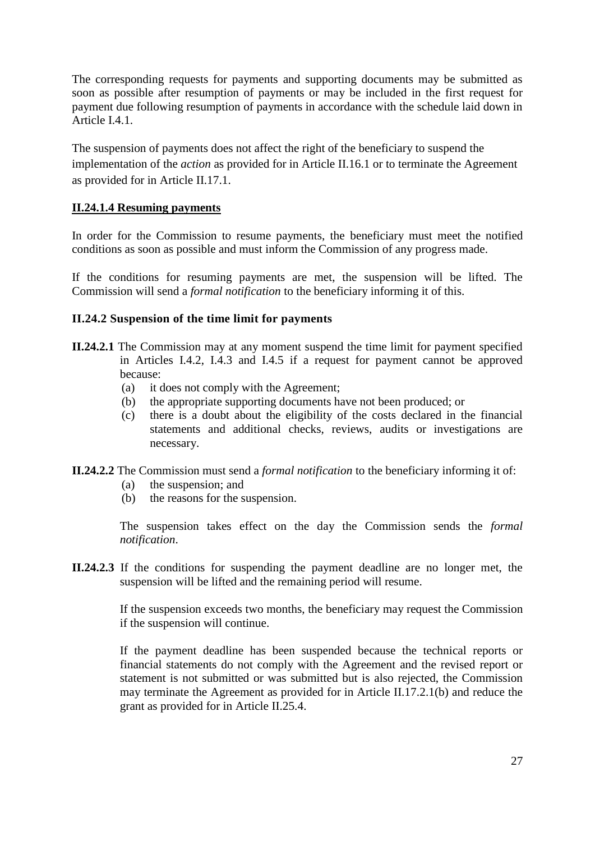The corresponding requests for payments and supporting documents may be submitted as soon as possible after resumption of payments or may be included in the first request for payment due following resumption of payments in accordance with the schedule laid down in Article I.4.1.

The suspension of payments does not affect the right of the beneficiary to suspend the implementation of the *action* as provided for in Article II.16.1 or to terminate the Agreement as provided for in Article II.17.1.

#### **II.24.1.4 Resuming payments**

In order for the Commission to resume payments, the beneficiary must meet the notified conditions as soon as possible and must inform the Commission of any progress made.

If the conditions for resuming payments are met, the suspension will be lifted. The Commission will send a *formal notification* to the beneficiary informing it of this.

#### <span id="page-26-0"></span>**II.24.2 Suspension of the time limit for payments**

- **II.24.2.1** The Commission may at any moment suspend the time limit for payment specified in Articles I.4.2, I.4.3 and I.4.5 if a request for payment cannot be approved because:
	- (a) it does not comply with the Agreement;
	- (b) the appropriate supporting documents have not been produced; or
	- (c) there is a doubt about the eligibility of the costs declared in the financial statements and additional checks, reviews, audits or investigations are necessary.
- **II.24.2.2** The Commission must send a *formal notification* to the beneficiary informing it of:
	- (a) the suspension; and
	- (b) the reasons for the suspension.

The suspension takes effect on the day the Commission sends the *formal notification*.

**II.24.2.3** If the conditions for suspending the payment deadline are no longer met, the suspension will be lifted and the remaining period will resume.

> If the suspension exceeds two months, the beneficiary may request the Commission if the suspension will continue.

> If the payment deadline has been suspended because the technical reports or financial statements do not comply with the Agreement and the revised report or statement is not submitted or was submitted but is also rejected, the Commission may terminate the Agreement as provided for in Article II.17.2.1(b) and reduce the grant as provided for in Article II.25.4.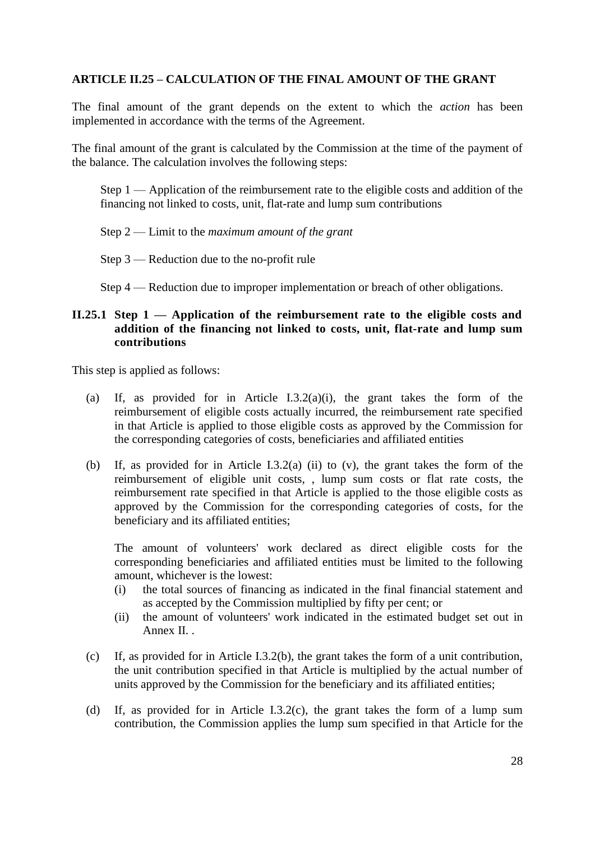### <span id="page-27-0"></span>**ARTICLE II.25 – CALCULATION OF THE FINAL AMOUNT OF THE GRANT**

The final amount of the grant depends on the extent to which the *action* has been implemented in accordance with the terms of the Agreement.

The final amount of the grant is calculated by the Commission at the time of the payment of the balance. The calculation involves the following steps:

Step 1 — Application of the reimbursement rate to the eligible costs and addition of the financing not linked to costs, unit, flat-rate and lump sum contributions

Step 2 — Limit to the *maximum amount of the grant*

Step 3 — Reduction due to the no-profit rule

Step 4 — Reduction due to improper implementation or breach of other obligations.

#### <span id="page-27-1"></span>**II.25.1 Step 1 — Application of the reimbursement rate to the eligible costs and addition of the financing not linked to costs, unit, flat-rate and lump sum contributions**

This step is applied as follows:

- (a) If, as provided for in Article I.3.2(a)(i), the grant takes the form of the reimbursement of eligible costs actually incurred, the reimbursement rate specified in that Article is applied to those eligible costs as approved by the Commission for the corresponding categories of costs, beneficiaries and affiliated entities
- (b) If, as provided for in Article I.3.2(a) (ii) to (v), the grant takes the form of the reimbursement of eligible unit costs, , lump sum costs or flat rate costs, the reimbursement rate specified in that Article is applied to the those eligible costs as approved by the Commission for the corresponding categories of costs, for the beneficiary and its affiliated entities;

The amount of volunteers' work declared as direct eligible costs for the corresponding beneficiaries and affiliated entities must be limited to the following amount, whichever is the lowest:

- (i) the total sources of financing as indicated in the final financial statement and as accepted by the Commission multiplied by fifty per cent; or
- (ii) the amount of volunteers' work indicated in the estimated budget set out in Annex II.
- (c) If, as provided for in Article I.3.2(b), the grant takes the form of a unit contribution, the unit contribution specified in that Article is multiplied by the actual number of units approved by the Commission for the beneficiary and its affiliated entities;
- (d) If, as provided for in Article I.3.2(c), the grant takes the form of a lump sum contribution, the Commission applies the lump sum specified in that Article for the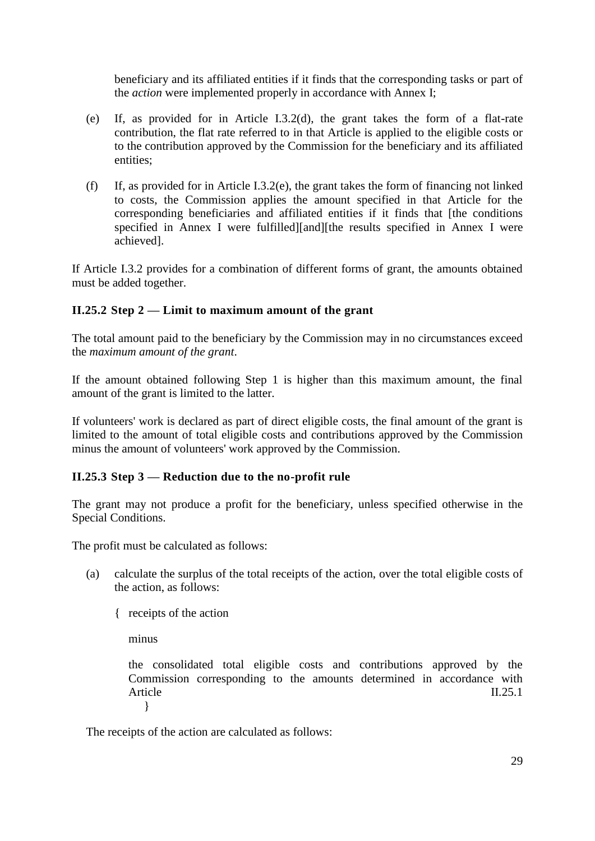beneficiary and its affiliated entities if it finds that the corresponding tasks or part of the *action* were implemented properly in accordance with Annex I;

- (e) If, as provided for in Article I.3.2(d), the grant takes the form of a flat-rate contribution, the flat rate referred to in that Article is applied to the eligible costs or to the contribution approved by the Commission for the beneficiary and its affiliated entities;
- (f) If, as provided for in Article I.3.2(e), the grant takes the form of financing not linked to costs, the Commission applies the amount specified in that Article for the corresponding beneficiaries and affiliated entities if it finds that [the conditions specified in Annex I were fulfilled][and][the results specified in Annex I were achieved].

If Article I.3.2 provides for a combination of different forms of grant, the amounts obtained must be added together.

### <span id="page-28-0"></span>**II.25.2 Step 2 — Limit to maximum amount of the grant**

The total amount paid to the beneficiary by the Commission may in no circumstances exceed the *maximum amount of the grant*.

If the amount obtained following Step 1 is higher than this maximum amount, the final amount of the grant is limited to the latter.

If volunteers' work is declared as part of direct eligible costs, the final amount of the grant is limited to the amount of total eligible costs and contributions approved by the Commission minus the amount of volunteers' work approved by the Commission.

### <span id="page-28-1"></span>**II.25.3 Step 3 — Reduction due to the no-profit rule**

The grant may not produce a profit for the beneficiary, unless specified otherwise in the Special Conditions.

The profit must be calculated as follows:

- (a) calculate the surplus of the total receipts of the action, over the total eligible costs of the action, as follows:
	- { receipts of the action

minus

the consolidated total eligible costs and contributions approved by the Commission corresponding to the amounts determined in accordance with Article II.25.1 }

The receipts of the action are calculated as follows: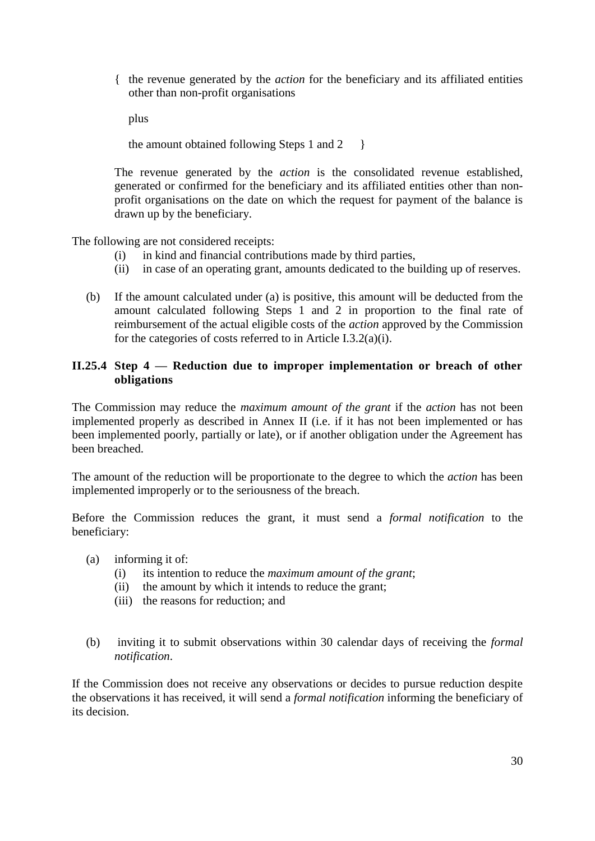{ the revenue generated by the *action* for the beneficiary and its affiliated entities other than non-profit organisations

plus

the amount obtained following Steps 1 and  $2 \}$ 

The revenue generated by the *action* is the consolidated revenue established, generated or confirmed for the beneficiary and its affiliated entities other than nonprofit organisations on the date on which the request for payment of the balance is drawn up by the beneficiary.

The following are not considered receipts:

- (i) in kind and financial contributions made by third parties,
- (ii) in case of an operating grant, amounts dedicated to the building up of reserves.
- (b) If the amount calculated under (a) is positive, this amount will be deducted from the amount calculated following Steps 1 and 2 in proportion to the final rate of reimbursement of the actual eligible costs of the *action* approved by the Commission for the categories of costs referred to in Article I.3.2(a)(i).

#### <span id="page-29-0"></span>**II.25.4 Step 4 — Reduction due to improper implementation or breach of other obligations**

The Commission may reduce the *maximum amount of the grant* if the *action* has not been implemented properly as described in Annex II (i.e. if it has not been implemented or has been implemented poorly, partially or late), or if another obligation under the Agreement has been breached.

The amount of the reduction will be proportionate to the degree to which the *action* has been implemented improperly or to the seriousness of the breach.

Before the Commission reduces the grant, it must send a *formal notification* to the beneficiary:

- (a) informing it of:
	- (i) its intention to reduce the *maximum amount of the grant*;
	- (ii) the amount by which it intends to reduce the grant;
	- (iii) the reasons for reduction; and
- (b) inviting it to submit observations within 30 calendar days of receiving the *formal notification*.

If the Commission does not receive any observations or decides to pursue reduction despite the observations it has received, it will send a *formal notification* informing the beneficiary of its decision.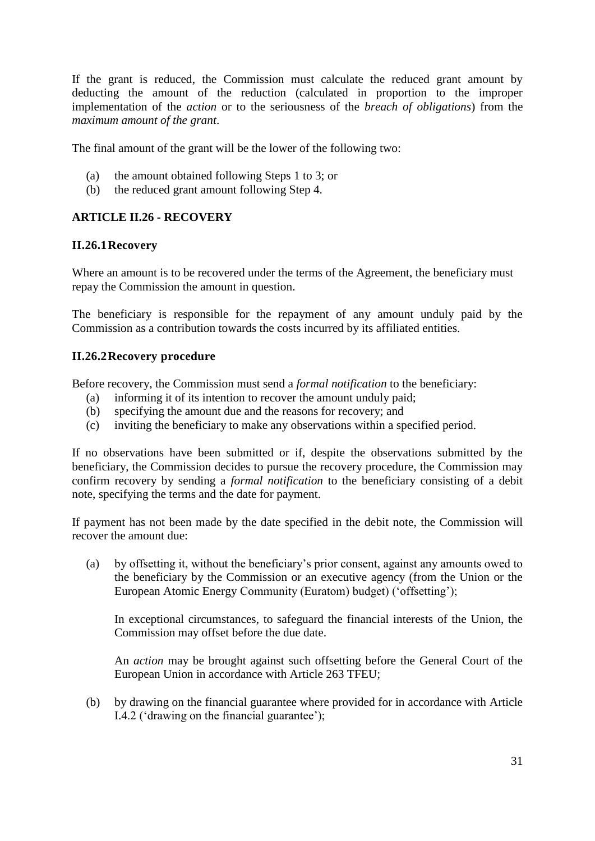If the grant is reduced, the Commission must calculate the reduced grant amount by deducting the amount of the reduction (calculated in proportion to the improper implementation of the *action* or to the seriousness of the *breach of obligations*) from the *maximum amount of the grant*.

The final amount of the grant will be the lower of the following two:

- (a) the amount obtained following Steps 1 to 3; or
- (b) the reduced grant amount following Step 4.

### <span id="page-30-0"></span>**ARTICLE II.26 - RECOVERY**

#### <span id="page-30-1"></span>**II.26.1Recovery**

Where an amount is to be recovered under the terms of the Agreement, the beneficiary must repay the Commission the amount in question.

The beneficiary is responsible for the repayment of any amount unduly paid by the Commission as a contribution towards the costs incurred by its affiliated entities.

#### <span id="page-30-2"></span>**II.26.2Recovery procedure**

Before recovery, the Commission must send a *formal notification* to the beneficiary:

- (a) informing it of its intention to recover the amount unduly paid;
- (b) specifying the amount due and the reasons for recovery; and
- (c) inviting the beneficiary to make any observations within a specified period.

If no observations have been submitted or if, despite the observations submitted by the beneficiary, the Commission decides to pursue the recovery procedure, the Commission may confirm recovery by sending a *formal notification* to the beneficiary consisting of a debit note, specifying the terms and the date for payment.

If payment has not been made by the date specified in the debit note, the Commission will recover the amount due:

(a) by offsetting it, without the beneficiary's prior consent, against any amounts owed to the beneficiary by the Commission or an executive agency (from the Union or the European Atomic Energy Community (Euratom) budget) ('offsetting');

In exceptional circumstances, to safeguard the financial interests of the Union, the Commission may offset before the due date.

An *action* may be brought against such offsetting before the General Court of the European Union in accordance with Article 263 TFEU;

(b) by drawing on the financial guarantee where provided for in accordance with Article I.4.2 ('drawing on the financial guarantee');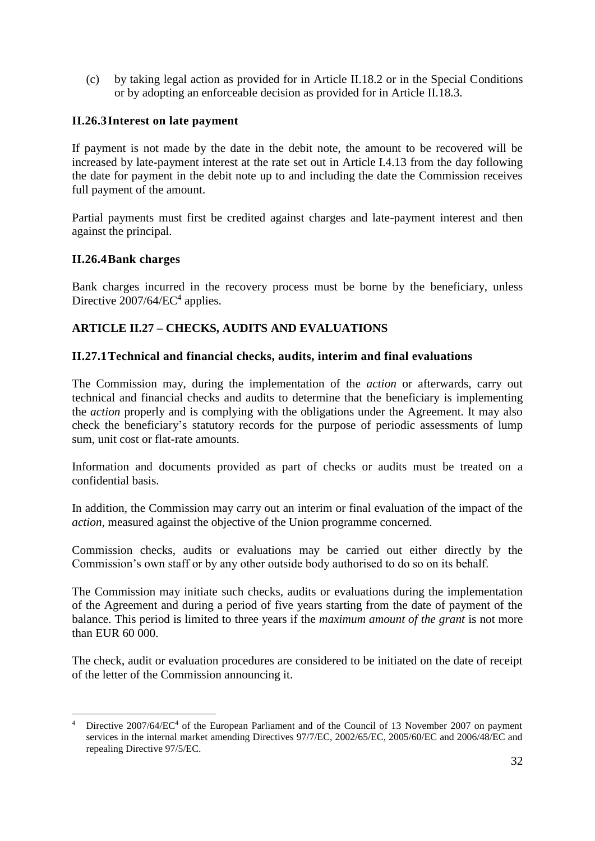(c) by taking legal action as provided for in Article II.18.2 or in the Special Conditions or by adopting an enforceable decision as provided for in Article II.18.3.

### <span id="page-31-0"></span>**II.26.3Interest on late payment**

If payment is not made by the date in the debit note, the amount to be recovered will be increased by late-payment interest at the rate set out in Article I.4.13 from the day following the date for payment in the debit note up to and including the date the Commission receives full payment of the amount.

Partial payments must first be credited against charges and late-payment interest and then against the principal.

#### <span id="page-31-1"></span>**II.26.4Bank charges**

Bank charges incurred in the recovery process must be borne by the beneficiary, unless Directive  $2007/64/EC^4$  applies.

## <span id="page-31-2"></span>**ARTICLE II.27 – CHECKS, AUDITS AND EVALUATIONS**

#### <span id="page-31-3"></span>**II.27.1Technical and financial checks, audits, interim and final evaluations**

The Commission may, during the implementation of the *action* or afterwards, carry out technical and financial checks and audits to determine that the beneficiary is implementing the *action* properly and is complying with the obligations under the Agreement. It may also check the beneficiary's statutory records for the purpose of periodic assessments of lump sum, unit cost or flat-rate amounts.

Information and documents provided as part of checks or audits must be treated on a confidential basis.

In addition, the Commission may carry out an interim or final evaluation of the impact of the *action*, measured against the objective of the Union programme concerned.

Commission checks, audits or evaluations may be carried out either directly by the Commission's own staff or by any other outside body authorised to do so on its behalf.

The Commission may initiate such checks, audits or evaluations during the implementation of the Agreement and during a period of five years starting from the date of payment of the balance. This period is limited to three years if the *maximum amount of the grant* is not more than EUR 60 000.

The check, audit or evaluation procedures are considered to be initiated on the date of receipt of the letter of the Commission announcing it.

<sup>1</sup> <sup>4</sup> Directive 2007/64/EC<sup>4</sup> of the European Parliament and of the Council of 13 November 2007 on payment services in the internal market amending Directives 97/7/EC, 2002/65/EC, 2005/60/EC and 2006/48/EC and repealing Directive 97/5/EC.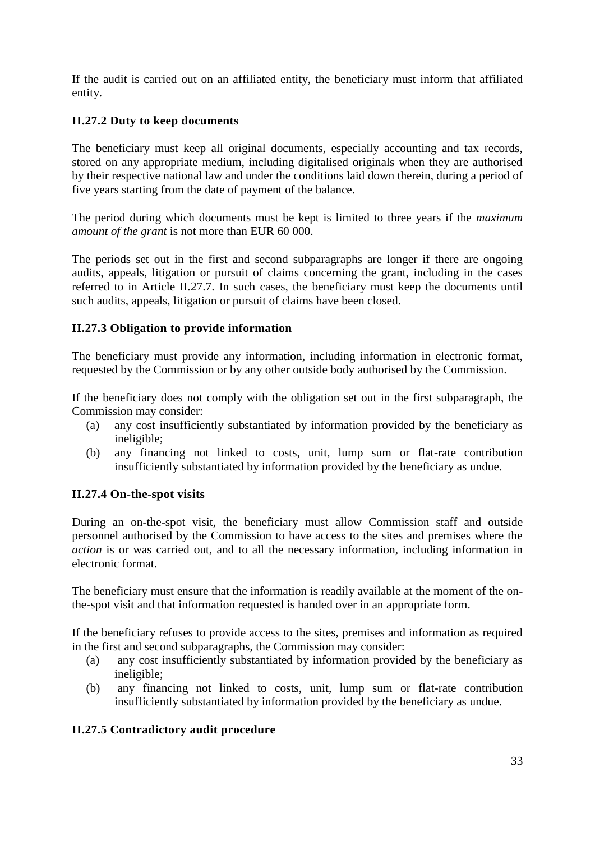If the audit is carried out on an affiliated entity, the beneficiary must inform that affiliated entity.

## <span id="page-32-0"></span>**II.27.2 Duty to keep documents**

The beneficiary must keep all original documents, especially accounting and tax records, stored on any appropriate medium, including digitalised originals when they are authorised by their respective national law and under the conditions laid down therein, during a period of five years starting from the date of payment of the balance.

The period during which documents must be kept is limited to three years if the *maximum amount of the grant* is not more than EUR 60 000.

The periods set out in the first and second subparagraphs are longer if there are ongoing audits, appeals, litigation or pursuit of claims concerning the grant, including in the cases referred to in Article II.27.7. In such cases, the beneficiary must keep the documents until such audits, appeals, litigation or pursuit of claims have been closed.

### <span id="page-32-1"></span>**II.27.3 Obligation to provide information**

The beneficiary must provide any information, including information in electronic format, requested by the Commission or by any other outside body authorised by the Commission.

If the beneficiary does not comply with the obligation set out in the first subparagraph, the Commission may consider:

- (a) any cost insufficiently substantiated by information provided by the beneficiary as ineligible;
- (b) any financing not linked to costs, unit, lump sum or flat-rate contribution insufficiently substantiated by information provided by the beneficiary as undue.

### <span id="page-32-2"></span>**II.27.4 On-the-spot visits**

During an on-the-spot visit, the beneficiary must allow Commission staff and outside personnel authorised by the Commission to have access to the sites and premises where the *action* is or was carried out, and to all the necessary information, including information in electronic format.

The beneficiary must ensure that the information is readily available at the moment of the onthe-spot visit and that information requested is handed over in an appropriate form.

If the beneficiary refuses to provide access to the sites, premises and information as required in the first and second subparagraphs, the Commission may consider:

- (a) any cost insufficiently substantiated by information provided by the beneficiary as ineligible;
- (b) any financing not linked to costs, unit, lump sum or flat-rate contribution insufficiently substantiated by information provided by the beneficiary as undue.

## <span id="page-32-3"></span>**II.27.5 Contradictory audit procedure**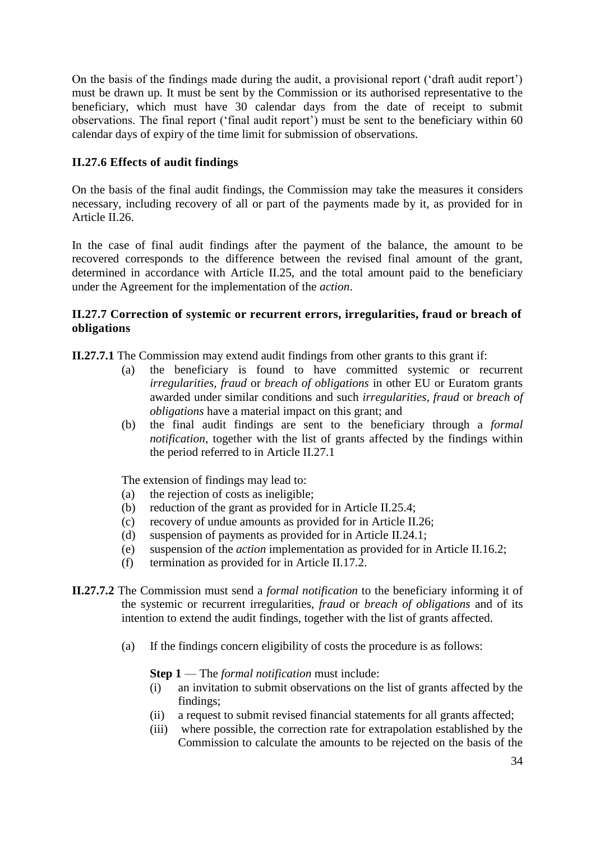On the basis of the findings made during the audit, a provisional report ('draft audit report') must be drawn up. It must be sent by the Commission or its authorised representative to the beneficiary, which must have 30 calendar days from the date of receipt to submit observations. The final report ('final audit report') must be sent to the beneficiary within 60 calendar days of expiry of the time limit for submission of observations.

## <span id="page-33-0"></span>**II.27.6 Effects of audit findings**

On the basis of the final audit findings, the Commission may take the measures it considers necessary, including recovery of all or part of the payments made by it, as provided for in Article II.26.

In the case of final audit findings after the payment of the balance, the amount to be recovered corresponds to the difference between the revised final amount of the grant, determined in accordance with Article II.25, and the total amount paid to the beneficiary under the Agreement for the implementation of the *action*.

#### <span id="page-33-1"></span>**II.27.7 Correction of systemic or recurrent errors, irregularities, fraud or breach of obligations**

**II.27.7.1** The Commission may extend audit findings from other grants to this grant if:

- (a) the beneficiary is found to have committed systemic or recurrent *irregularities, fraud* or *breach of obligations* in other EU or Euratom grants awarded under similar conditions and such *irregularities, fraud* or *breach of obligations* have a material impact on this grant; and
- (b) the final audit findings are sent to the beneficiary through a *formal notification*, together with the list of grants affected by the findings within the period referred to in Article II.27.1

The extension of findings may lead to:

- (a) the rejection of costs as ineligible;
- (b) reduction of the grant as provided for in Article II.25.4;
- (c) recovery of undue amounts as provided for in Article II.26;
- (d) suspension of payments as provided for in Article II.24.1;
- (e) suspension of the *action* implementation as provided for in Article II.16.2;
- (f) termination as provided for in Article II.17.2.
- **II.27.7.2** The Commission must send a *formal notification* to the beneficiary informing it of the systemic or recurrent irregularities, *fraud* or *breach of obligations* and of its intention to extend the audit findings, together with the list of grants affected.
	- (a) If the findings concern eligibility of costs the procedure is as follows:

#### **Step 1** — The *formal notification* must include:

- (i) an invitation to submit observations on the list of grants affected by the findings;
- (ii) a request to submit revised financial statements for all grants affected;
- (iii) where possible, the correction rate for extrapolation established by the Commission to calculate the amounts to be rejected on the basis of the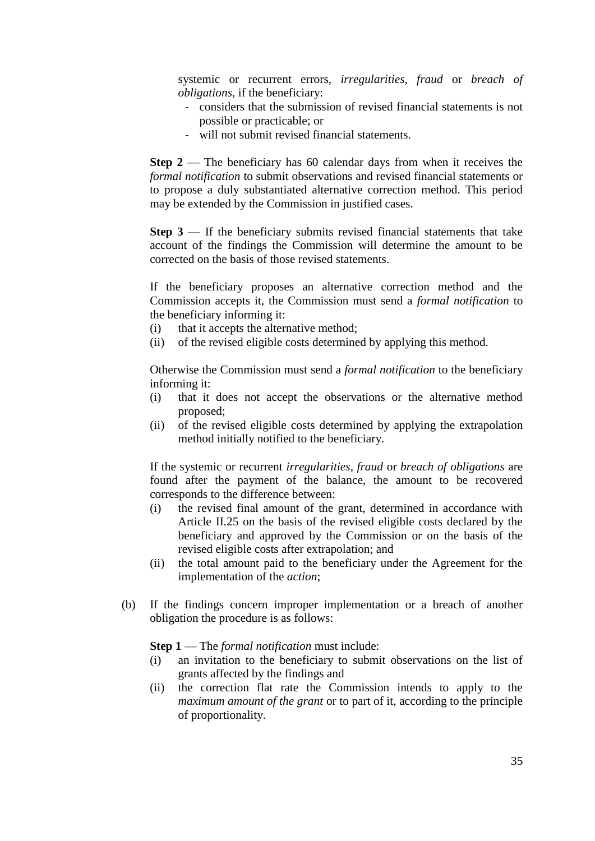systemic or recurrent errors, *irregularities, fraud* or *breach of obligations*, if the beneficiary:

- considers that the submission of revised financial statements is not possible or practicable; or
- will not submit revised financial statements.

**Step 2** — The beneficiary has 60 calendar days from when it receives the *formal notification* to submit observations and revised financial statements or to propose a duly substantiated alternative correction method. This period may be extended by the Commission in justified cases.

**Step 3** — If the beneficiary submits revised financial statements that take account of the findings the Commission will determine the amount to be corrected on the basis of those revised statements.

If the beneficiary proposes an alternative correction method and the Commission accepts it, the Commission must send a *formal notification* to the beneficiary informing it:

- (i) that it accepts the alternative method;
- (ii) of the revised eligible costs determined by applying this method.

Otherwise the Commission must send a *formal notification* to the beneficiary informing it:

- (i) that it does not accept the observations or the alternative method proposed;
- (ii) of the revised eligible costs determined by applying the extrapolation method initially notified to the beneficiary.

If the systemic or recurrent *irregularities, fraud* or *breach of obligations* are found after the payment of the balance, the amount to be recovered corresponds to the difference between:

- (i) the revised final amount of the grant, determined in accordance with Article II.25 on the basis of the revised eligible costs declared by the beneficiary and approved by the Commission or on the basis of the revised eligible costs after extrapolation; and
- (ii) the total amount paid to the beneficiary under the Agreement for the implementation of the *action*;
- (b) If the findings concern improper implementation or a breach of another obligation the procedure is as follows:

#### **Step 1** — The *formal notification* must include:

- (i) an invitation to the beneficiary to submit observations on the list of grants affected by the findings and
- (ii) the correction flat rate the Commission intends to apply to the *maximum amount of the grant* or to part of it, according to the principle of proportionality.